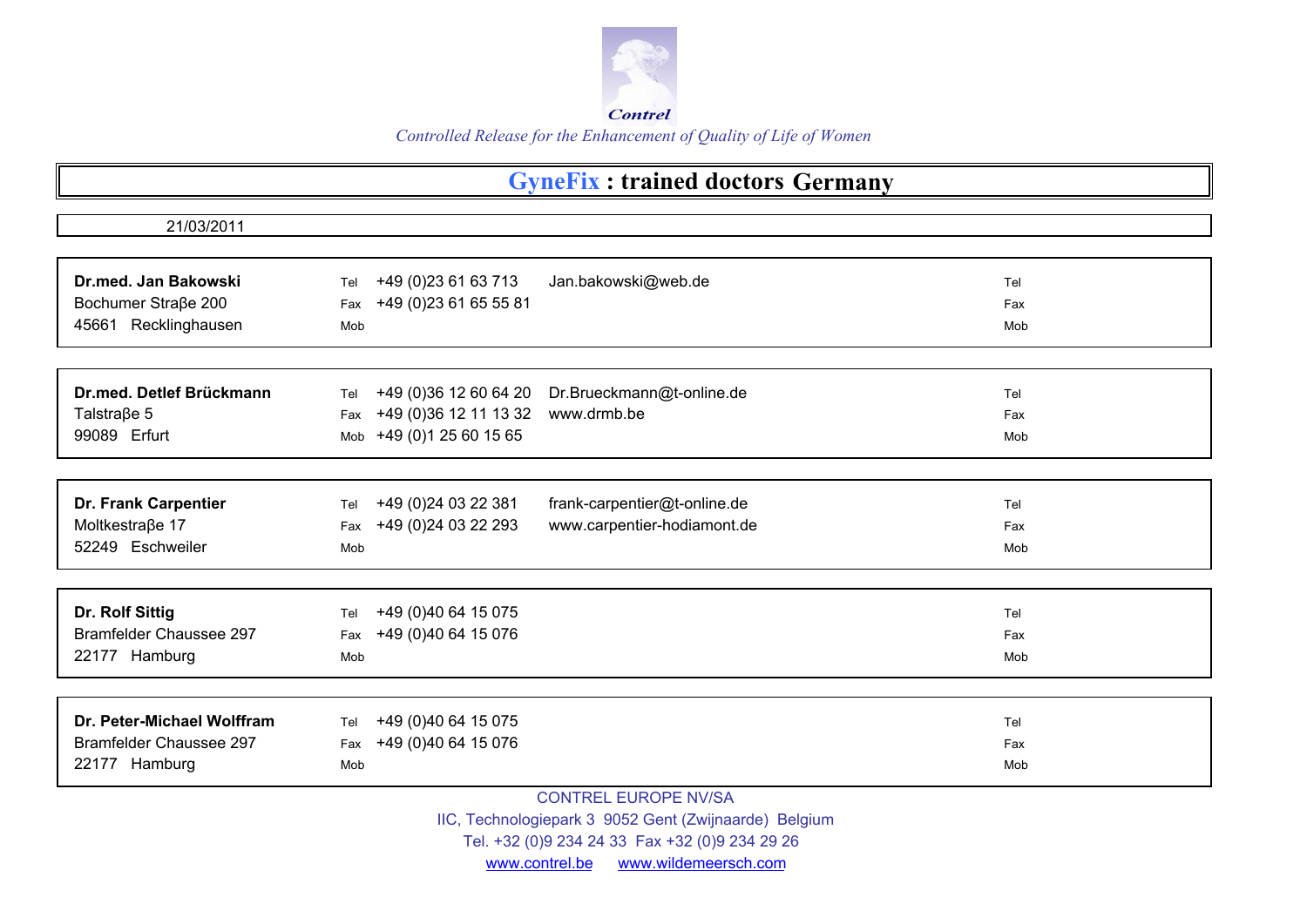

## **GyneFix : trained doctors Germany**

| 21/03/2011                 |                                                             |            |
|----------------------------|-------------------------------------------------------------|------------|
|                            |                                                             |            |
| Dr.med. Jan Bakowski       | +49 (0) 23 61 63 713<br>Jan.bakowski@web.de<br>Tel          | Tel        |
| Bochumer Straße 200        | +49 (0) 23 61 65 55 81<br>Fax                               | Fax        |
| 45661 Recklinghausen       | Mob                                                         | Mob        |
|                            |                                                             |            |
| Dr.med. Detlef Brückmann   | Dr.Brueckmann@t-online.de<br>+49 (0)36 12 60 64 20<br>Tel   | Tel        |
| Talstraße 5                | +49 (0) 36 12 11 13 32<br>www.drmb.be<br>Fax                | Fax        |
| 99089 Erfurt               | +49 (0) 1 25 60 15 65<br>Mob                                | Mob        |
|                            |                                                             |            |
| Dr. Frank Carpentier       | frank-carpentier@t-online.de<br>+49 (0) 24 03 22 381<br>Tel | Tel        |
| Moltkestraβe 17            | +49 (0)24 03 22 293<br>www.carpentier-hodiamont.de<br>Fax   | Fax        |
| 52249 Eschweiler           | Mob                                                         | Mob        |
|                            |                                                             |            |
| Dr. Rolf Sittig            | +49 (0)40 64 15 075<br>Tel                                  | Tel        |
| Bramfelder Chaussee 297    | +49 (0)40 64 15 076<br>Fax                                  | Fax        |
| 22177 Hamburg              | Mob                                                         | Mob        |
| Dr. Peter-Michael Wolffram |                                                             |            |
| Bramfelder Chaussee 297    | +49 (0)40 64 15 075<br>Tel<br>+49 (0)40 64 15 076           | Tel        |
| 22177 Hamburg              | Fax<br>Mob                                                  | Fax<br>Mob |
|                            |                                                             |            |
|                            | <b>CONTREL EUROPE NV/SA</b>                                 |            |
|                            | IIC, Technologiepark 3 9052 Gent (Zwijnaarde) Belgium       |            |

Tel. +32 (0)9 234 24 33 Fax +32 (0)9 234 29 26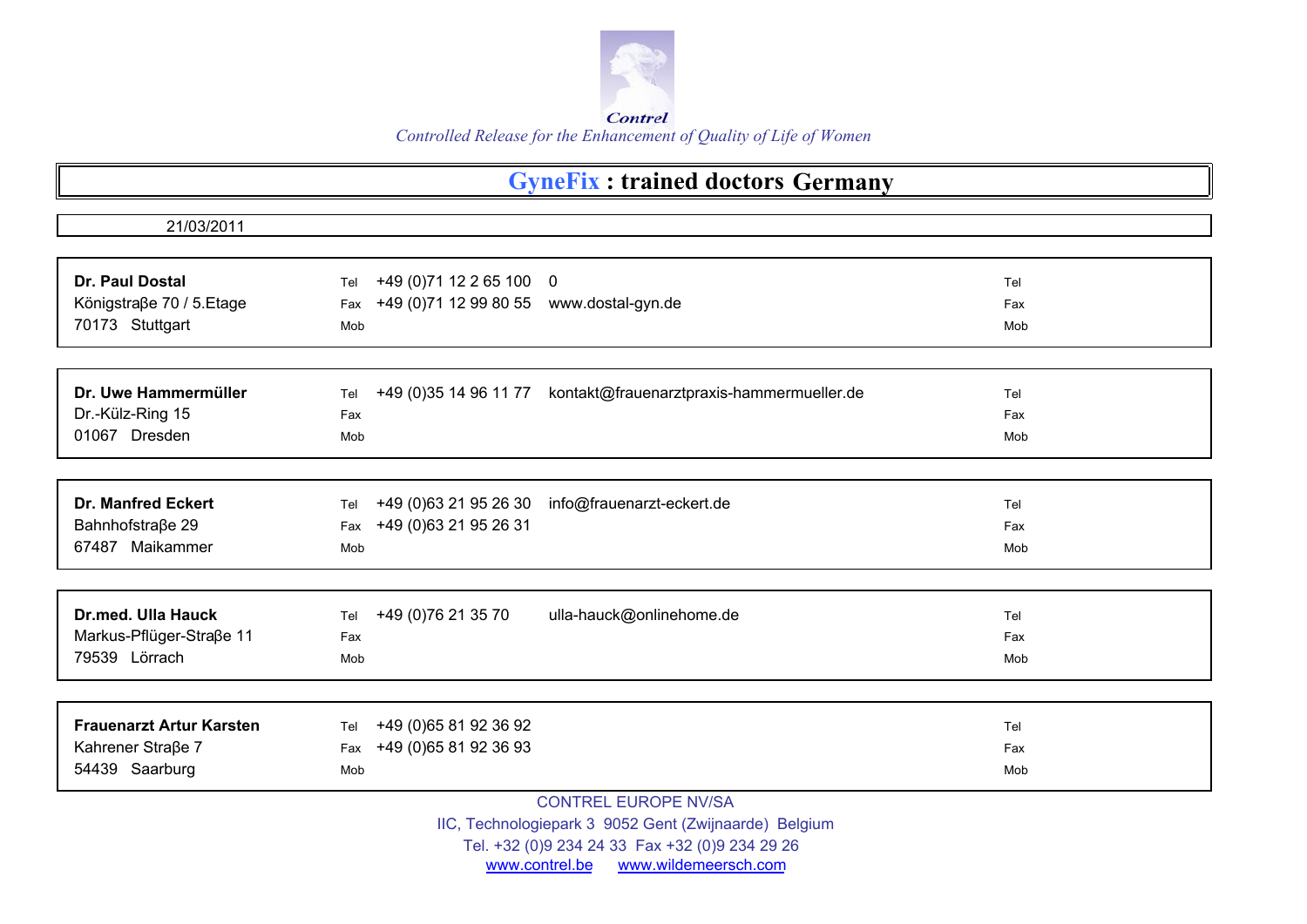

| 21/03/2011                      |                                                                           |     |
|---------------------------------|---------------------------------------------------------------------------|-----|
|                                 |                                                                           |     |
| <b>Dr. Paul Dostal</b>          | +49 (0) 71 12 2 65 100 0<br>Tel                                           |     |
|                                 |                                                                           | Tel |
| Königstraβe 70 / 5. Etage       | +49 (0)71 12 99 80 55 www.dostal-gyn.de<br>Fax                            | Fax |
| 70173 Stuttgart                 | Mob                                                                       | Mob |
|                                 |                                                                           |     |
| Dr. Uwe Hammermüller            | kontakt@frauenarztpraxis-hammermueller.de<br>+49 (0)35 14 96 11 77<br>Tel | Tel |
| Dr.-Külz-Ring 15                | Fax                                                                       | Fax |
| 01067 Dresden                   | Mob                                                                       | Mob |
|                                 |                                                                           |     |
|                                 |                                                                           |     |
| <b>Dr. Manfred Eckert</b>       | +49 (0) 63 21 95 26 30<br>info@frauenarzt-eckert.de<br>Tel                | Tel |
| Bahnhofstraße 29                | +49 (0) 63 21 95 26 31<br>Fax                                             | Fax |
| 67487 Maikammer                 | Mob                                                                       | Mob |
|                                 |                                                                           |     |
|                                 |                                                                           |     |
| <b>Dr.med. Ulla Hauck</b>       | ulla-hauck@onlinehome.de<br>+49 (0) 76 21 35 70<br>Tel                    | Tel |
| Markus-Pflüger-Straße 11        | Fax                                                                       | Fax |
| 79539 Lörrach                   | Mob                                                                       | Mob |
|                                 |                                                                           |     |
|                                 |                                                                           |     |
| <b>Frauenarzt Artur Karsten</b> | +49 (0) 65 81 92 36 92<br>Tel                                             | Tel |
| Kahrener Straße 7               | +49 (0)65 81 92 36 93<br>Fax                                              | Fax |
| 54439 Saarburg                  | Mob                                                                       | Mob |
|                                 | <b>CONTREL EUROPE NV/SA</b>                                               |     |
|                                 | IIC, Technologiepark 3 9052 Gent (Zwijnaarde) Belgium                     |     |
|                                 |                                                                           |     |

Tel. +32 (0)9 234 24 33 Fax +32 (0)9 234 29 26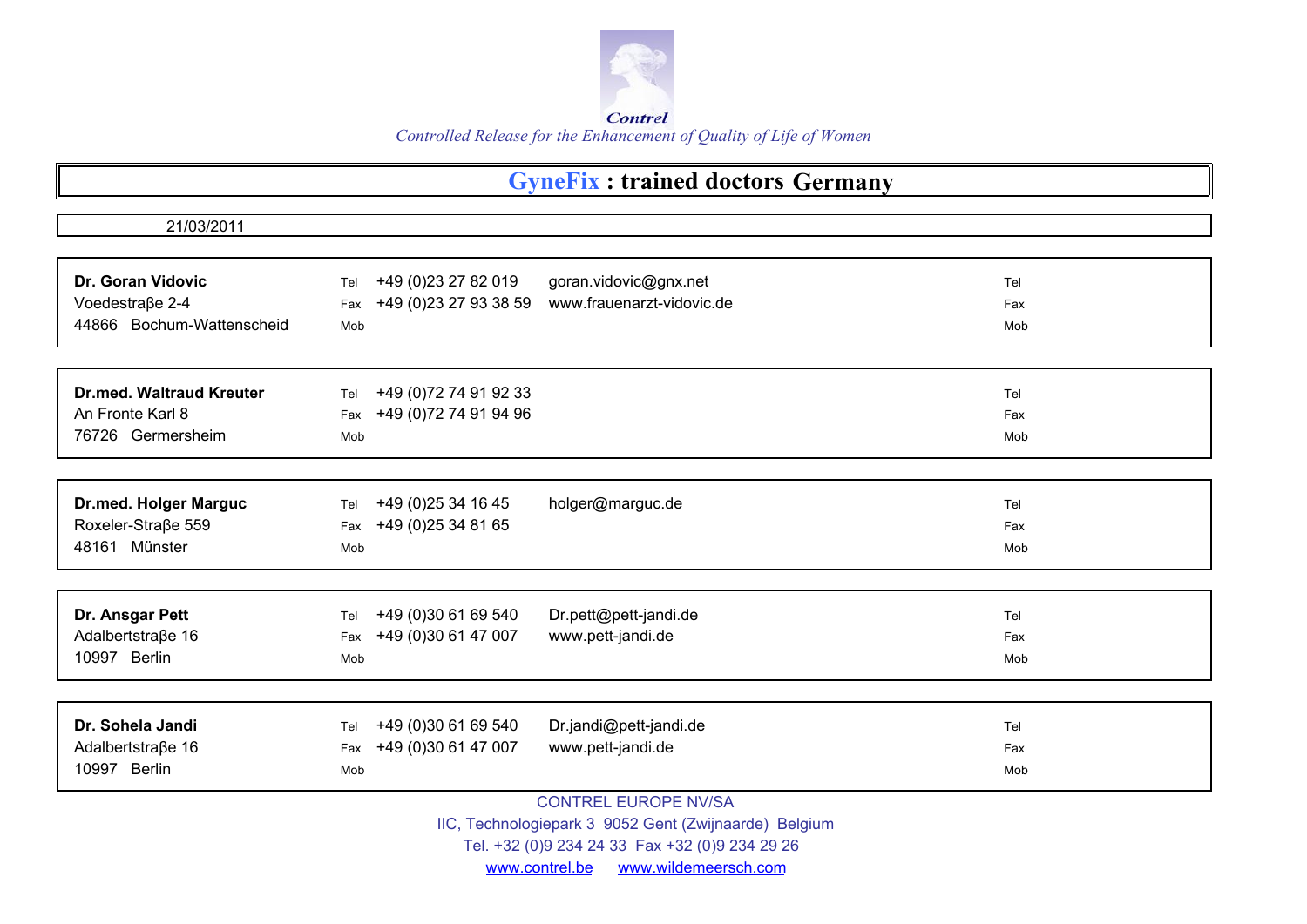

| 21/03/2011                      |                               |                                                                                            |     |
|---------------------------------|-------------------------------|--------------------------------------------------------------------------------------------|-----|
|                                 |                               |                                                                                            |     |
| Dr. Goran Vidovic               | +49 (0) 23 27 82 019<br>Tel   | goran.vidovic@gnx.net                                                                      | Tel |
| Voedestraβe 2-4                 | Fax +49 (0)23 27 93 38 59     | www.frauenarzt-vidovic.de                                                                  | Fax |
| 44866 Bochum-Wattenscheid       | Mob                           |                                                                                            | Mob |
|                                 |                               |                                                                                            |     |
|                                 |                               |                                                                                            |     |
| <b>Dr.med. Waltraud Kreuter</b> | +49 (0) 72 74 91 92 33<br>Tel |                                                                                            | Tel |
| An Fronte Karl 8                | Fax +49 (0)72 74 91 94 96     |                                                                                            | Fax |
| 76726 Germersheim               | Mob                           |                                                                                            | Mob |
|                                 |                               |                                                                                            |     |
|                                 |                               |                                                                                            |     |
| Dr.med. Holger Marguc           | +49 (0) 25 34 16 45<br>Tel    | holger@marguc.de                                                                           | Tel |
| Roxeler-Straße 559              | +49 (0) 25 34 81 65<br>Fax    |                                                                                            | Fax |
| 48161 Münster                   | Mob                           |                                                                                            | Mob |
|                                 |                               |                                                                                            |     |
|                                 |                               |                                                                                            |     |
| Dr. Ansgar Pett                 | +49 (0)30 61 69 540<br>Tel    | Dr.pett@pett-jandi.de                                                                      | Tel |
| Adalbertstraße 16               | +49 (0)30 61 47 007<br>Fax    | www.pett-jandi.de                                                                          | Fax |
| 10997 Berlin                    | Mob                           |                                                                                            | Mob |
|                                 |                               |                                                                                            |     |
|                                 |                               |                                                                                            |     |
| Dr. Sohela Jandi                | +49 (0)30 61 69 540<br>Tel    | Dr.jandi@pett-jandi.de                                                                     | Tel |
| Adalbertstraße 16               | +49 (0)30 61 47 007<br>Fax    | www.pett-jandi.de                                                                          | Fax |
| 10997 Berlin                    | Mob                           |                                                                                            | Mob |
|                                 |                               |                                                                                            |     |
|                                 |                               | <b>CONTREL EUROPE NV/SA</b><br><u>UC Technologianark 2, 0052 Cent (Zwijnoarde)</u> Polajum |     |

IIC, Technologiepark 3 9052 Gent (Zwijnaarde) Belgium

Tel. +32 (0)9 234 24 33 Fax +32 (0)9 234 29 26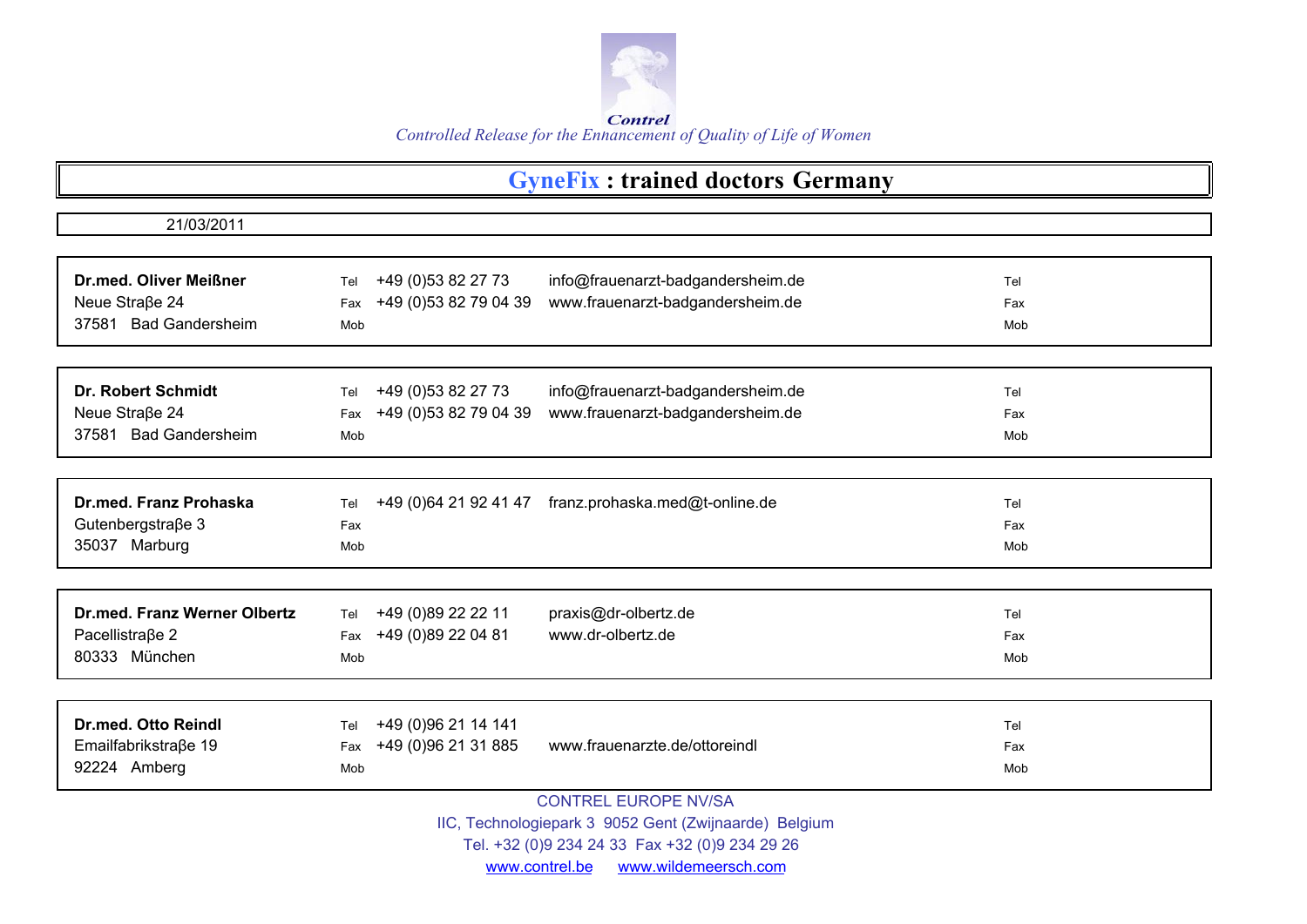

| 21/03/2011                                      |                                                                                                                                      |            |
|-------------------------------------------------|--------------------------------------------------------------------------------------------------------------------------------------|------------|
|                                                 |                                                                                                                                      |            |
| <b>Dr.med. Oliver Meißner</b><br>Neue Straβe 24 | +49 (0) 53 82 27 73<br>info@frauenarzt-badgandersheim.de<br>Tel<br>+49 (0) 53 82 79 04 39<br>www.frauenarzt-badgandersheim.de<br>Fax | Tel<br>Fax |
| 37581 Bad Gandersheim                           | Mob                                                                                                                                  | Mob        |
|                                                 |                                                                                                                                      |            |
|                                                 |                                                                                                                                      |            |
| <b>Dr. Robert Schmidt</b>                       | +49 (0) 53 82 27 73<br>info@frauenarzt-badgandersheim.de<br>Tel                                                                      | Tel        |
| Neue Straße 24                                  | +49 (0) 53 82 79 04 39<br>www.frauenarzt-badgandersheim.de<br>Fax                                                                    | Fax        |
| 37581 Bad Gandersheim                           | Mob                                                                                                                                  | Mob        |
|                                                 |                                                                                                                                      |            |
| <b>Dr.med. Franz Prohaska</b>                   | +49 (0) 64 21 92 41 47<br>franz.prohaska.med@t-online.de<br>Tel                                                                      | Tel        |
| Gutenbergstraβe 3                               | Fax                                                                                                                                  | Fax        |
| 35037 Marburg                                   | Mob                                                                                                                                  | Mob        |
|                                                 |                                                                                                                                      |            |
|                                                 |                                                                                                                                      |            |
| <b>Dr.med. Franz Werner Olbertz</b>             | +49 (0)89 22 22 11<br>praxis@dr-olbertz.de<br>Tel                                                                                    | Tel        |
| Pacellistraße 2                                 | +49 (0)89 22 04 81<br>www.dr-olbertz.de<br>Fax                                                                                       | Fax        |
| 80333 München                                   | Mob                                                                                                                                  | Mob        |
|                                                 |                                                                                                                                      |            |
|                                                 |                                                                                                                                      |            |
| Dr.med. Otto Reindl                             | +49 (0) 96 21 14 141<br>Tel                                                                                                          | Tel        |
| Emailfabrikstraße 19                            | +49 (0) 96 21 31 885<br>www.frauenarzte.de/ottoreindl<br>Fax                                                                         | Fax        |
| 92224 Amberg                                    | Mob                                                                                                                                  | Mob        |
|                                                 | <b>CONTREL EUROPE NV/SA</b>                                                                                                          |            |
|                                                 | IIC, Technologiepark 3 9052 Gent (Zwijnaarde) Belgium                                                                                |            |

Tel. +32 (0)9 234 24 33 Fax +32 (0)9 234 29 26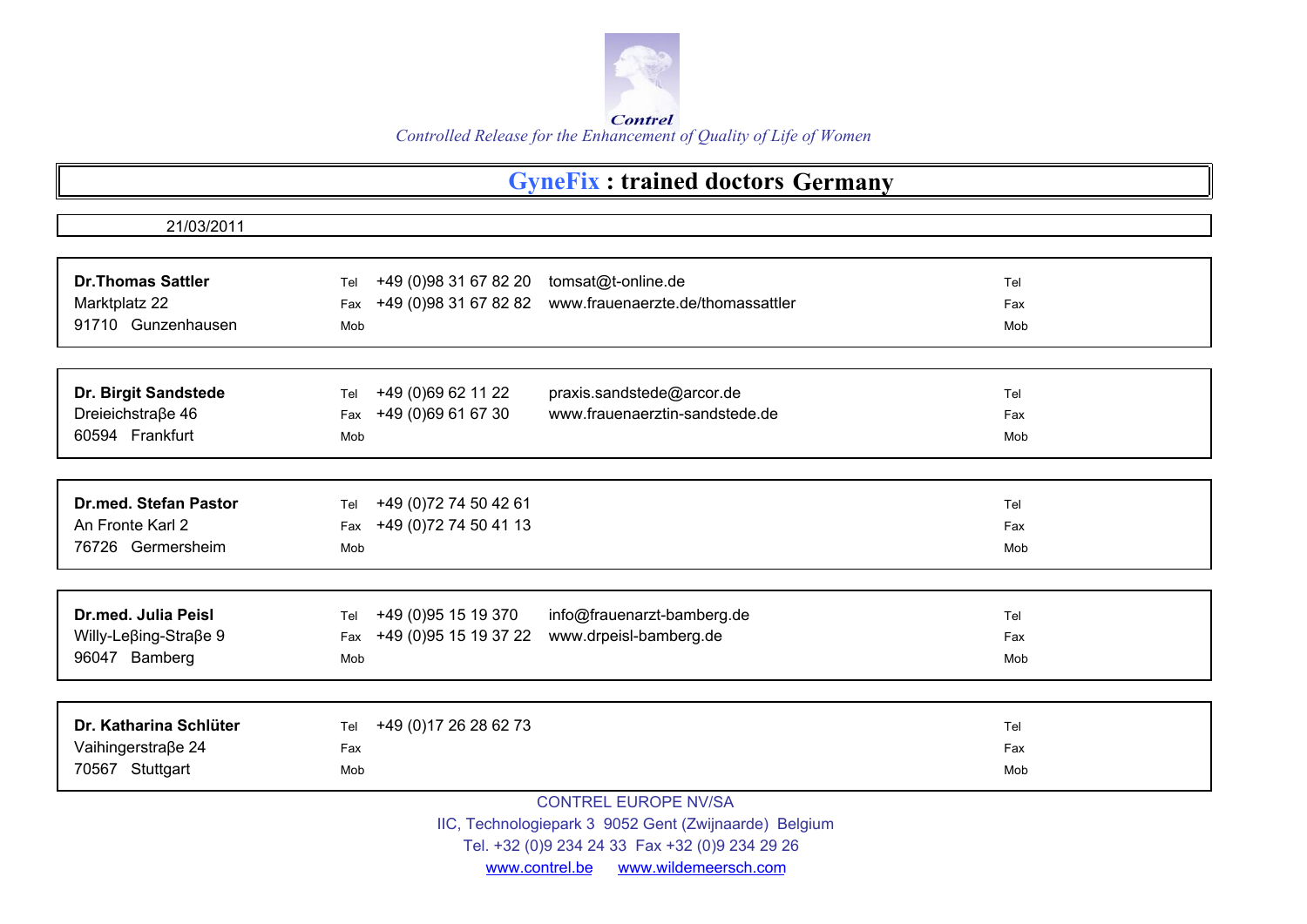

| 21/03/2011                   |                                                                 |     |
|------------------------------|-----------------------------------------------------------------|-----|
|                              |                                                                 |     |
| <b>Dr.Thomas Sattler</b>     | +49 (0)98 31 67 82 20<br>tomsat@t-online.de                     |     |
|                              | Tel                                                             | Tel |
| Marktplatz 22                | +49 (0) 98 31 67 82 82 www.frauenaerzte.de/thomassattler<br>Fax | Fax |
| 91710 Gunzenhausen           | Mob                                                             | Mob |
|                              |                                                                 |     |
| Dr. Birgit Sandstede         | +49 (0)69 62 11 22<br>praxis.sandstede@arcor.de<br>Tel          | Tel |
| Dreieichstraße 46            | www.frauenaerztin-sandstede.de<br>Fax +49 (0)69 61 67 30        | Fax |
| 60594 Frankfurt              | Mob                                                             | Mob |
|                              |                                                                 |     |
| <b>Dr.med. Stefan Pastor</b> | +49 (0) 72 74 50 42 61<br>Tel                                   | Tel |
| An Fronte Karl 2             | Fax +49 (0) 72 74 50 41 13                                      | Fax |
| 76726 Germersheim            | Mob                                                             | Mob |
|                              |                                                                 |     |
|                              |                                                                 |     |
| Dr.med. Julia Peisl          | +49 (0) 95 15 19 370<br>info@frauenarzt-bamberg.de<br>Tel       | Tel |
| Willy-Leβing-Straβe 9        | www.drpeisl-bamberg.de<br>+49 (0) 95 15 19 37 22<br>Fax         | Fax |
| 96047 Bamberg                | Mob                                                             | Mob |
|                              |                                                                 |     |
| Dr. Katharina Schlüter       | +49 (0) 17 26 28 62 73<br>Tel                                   | Tel |
| Vaihingerstraβe 24           | Fax                                                             | Fax |
| 70567 Stuttgart              | Mob                                                             | Mob |
|                              |                                                                 |     |
|                              | <b>CONTREL EUROPE NV/SA</b>                                     |     |
|                              | IIC, Technologiepark 3 9052 Gent (Zwijnaarde) Belgium           |     |
|                              | Tel. +32 (0)9 234 24 33 Fax +32 (0)9 234 29 26                  |     |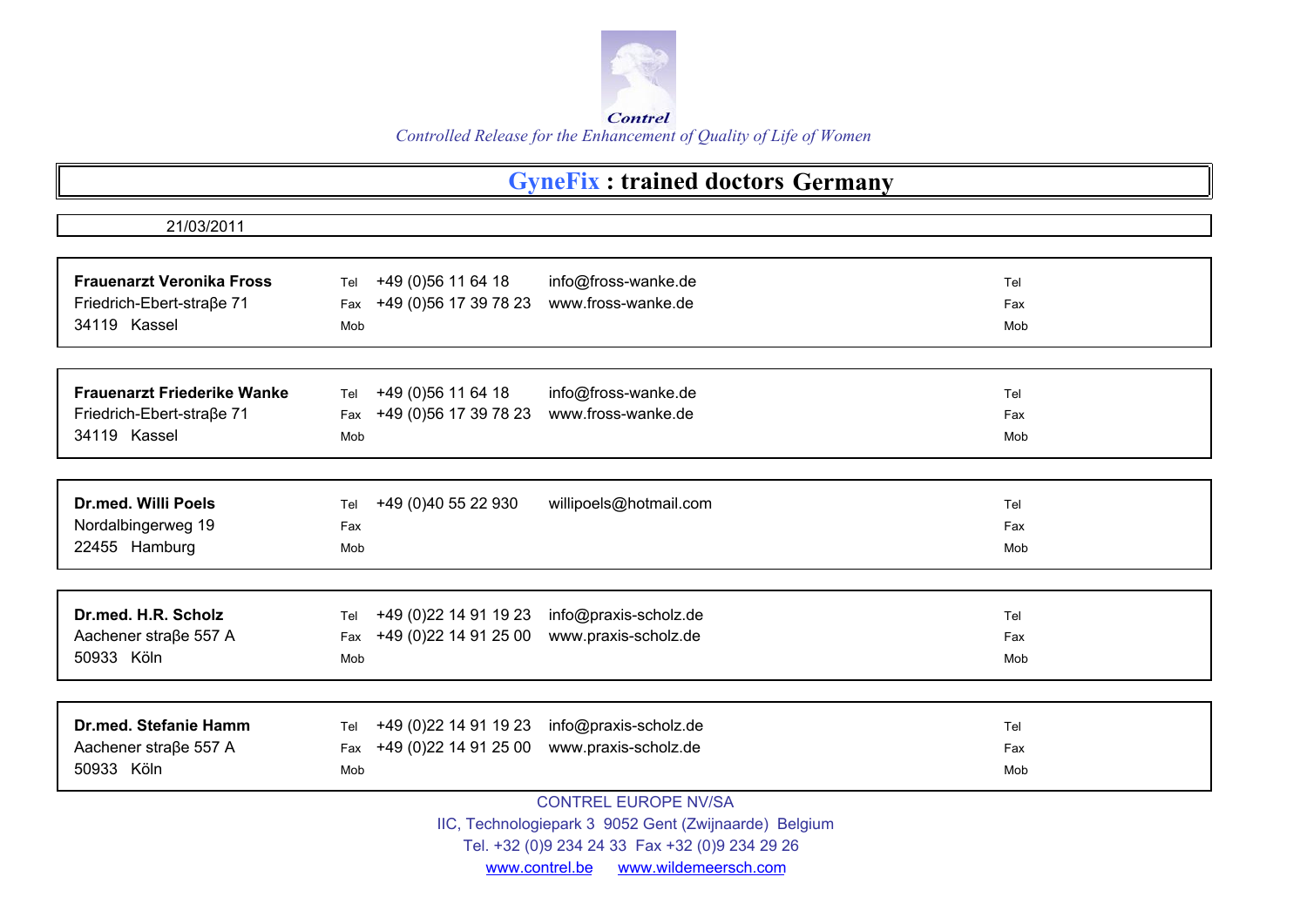

| 21/03/2011                         |                                                                                        |     |
|------------------------------------|----------------------------------------------------------------------------------------|-----|
|                                    |                                                                                        |     |
| <b>Frauenarzt Veronika Fross</b>   | +49 (0) 56 11 64 18<br>info@fross-wanke.de<br>Tel                                      | Tel |
| Friedrich-Ebert-straβe 71          | +49 (0) 56 17 39 78 23<br>www.fross-wanke.de<br>Fax                                    | Fax |
| 34119 Kassel                       | Mob                                                                                    | Mob |
|                                    |                                                                                        |     |
| <b>Frauenarzt Friederike Wanke</b> | info@fross-wanke.de<br>+49 (0) 56 11 64 18<br>Tel                                      | Tel |
| Friedrich-Ebert-straße 71          | +49 (0) 56 17 39 78 23<br>www.fross-wanke.de<br>Fax                                    | Fax |
| 34119 Kassel                       | Mob                                                                                    | Mob |
|                                    |                                                                                        |     |
| <b>Dr.med. Willi Poels</b>         | willipoels@hotmail.com<br>+49 (0)40 55 22 930<br>Tel                                   | Tel |
| Nordalbingerweg 19                 | Fax                                                                                    | Fax |
| 22455 Hamburg                      | Mob                                                                                    | Mob |
|                                    |                                                                                        |     |
| Dr.med. H.R. Scholz                | info@praxis-scholz.de<br>+49 (0) 22 14 91 19 23<br>Tel                                 | Tel |
| Aachener straβe 557 A              | +49 (0) 22 14 91 25 00<br>www.praxis-scholz.de<br>Fax                                  | Fax |
| 50933 Köln                         | Mob                                                                                    | Mob |
|                                    |                                                                                        |     |
| <b>Dr.med. Stefanie Hamm</b>       | +49 (0) 22 14 91 19 23<br>info@praxis-scholz.de<br>Tel                                 | Tel |
| Aachener straβe 557 A              | +49 (0)22 14 91 25 00<br>www.praxis-scholz.de<br>Fax                                   | Fax |
| 50933 Köln                         | Mob                                                                                    | Mob |
|                                    | <b>CONTREL EUROPE NV/SA</b>                                                            |     |
|                                    | $100$ , Taskinslavingsin, O. 0050 Osial (7 $\frac{1}{2}$ and $\frac{1}{2}$ ) Dalaising |     |

IIC, Technologiepark 3 9052 Gent (Zwijnaarde) Belgium

Tel. +32 (0)9 234 24 33 Fax +32 (0)9 234 29 26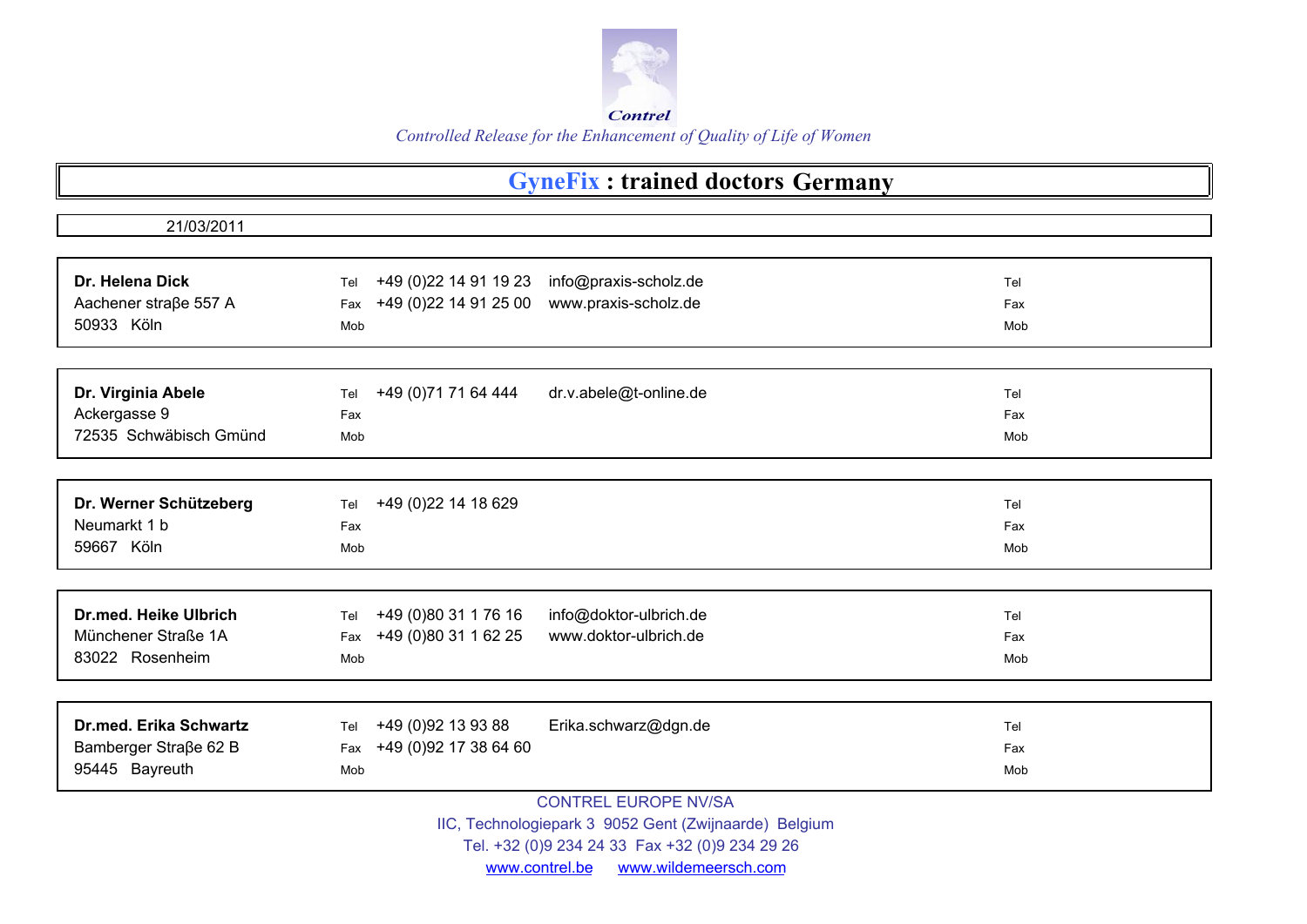

## **GyneFix : trained doctors Germany**

| 21/03/2011                    |                                                        |     |
|-------------------------------|--------------------------------------------------------|-----|
|                               |                                                        |     |
| Dr. Helena Dick               | +49 (0) 22 14 91 19 23<br>info@praxis-scholz.de<br>Tel | Tel |
| Aachener straße 557 A         | +49 (0) 22 14 91 25 00<br>www.praxis-scholz.de<br>Fax  | Fax |
| 50933 Köln                    | Mob                                                    | Mob |
|                               |                                                        |     |
|                               |                                                        |     |
| Dr. Virginia Abele            | +49 (0) 71 71 64 444<br>dr.v.abele@t-online.de<br>Tel  | Tel |
| Ackergasse 9                  | Fax                                                    | Fax |
| 72535 Schwäbisch Gmünd        | Mob                                                    | Mob |
|                               |                                                        |     |
| Dr. Werner Schützeberg        | +49 (0) 22 14 18 629<br>Tel                            | Tel |
| Neumarkt 1 b                  | Fax                                                    | Fax |
| 59667 Köln                    | Mob                                                    | Mob |
|                               |                                                        |     |
|                               |                                                        |     |
| Dr.med. Heike Ulbrich         | +49 (0)80 31 1 76 16<br>info@doktor-ulbrich.de<br>Tel  | Tel |
| Münchener Straße 1A           | +49 (0)80 31 1 62 25<br>www.doktor-ulbrich.de<br>Fax   | Fax |
| 83022 Rosenheim               | Mob                                                    | Mob |
|                               |                                                        |     |
| <b>Dr.med. Erika Schwartz</b> | +49 (0) 92 13 93 88<br>Erika.schwarz@dgn.de<br>Tel     | Tel |
| Bamberger Straße 62 B         | +49 (0) 92 17 38 64 60<br>Fax                          | Fax |
| 95445 Bayreuth                | Mob                                                    | Mob |
|                               |                                                        |     |
|                               | <b>CONTREL EUROPE NV/SA</b>                            |     |
|                               | IIC, Technologiepark 3 9052 Gent (Zwijnaarde) Belgium  |     |

Tel. +32 (0)9 234 24 33 Fax +32 (0)9 234 29 26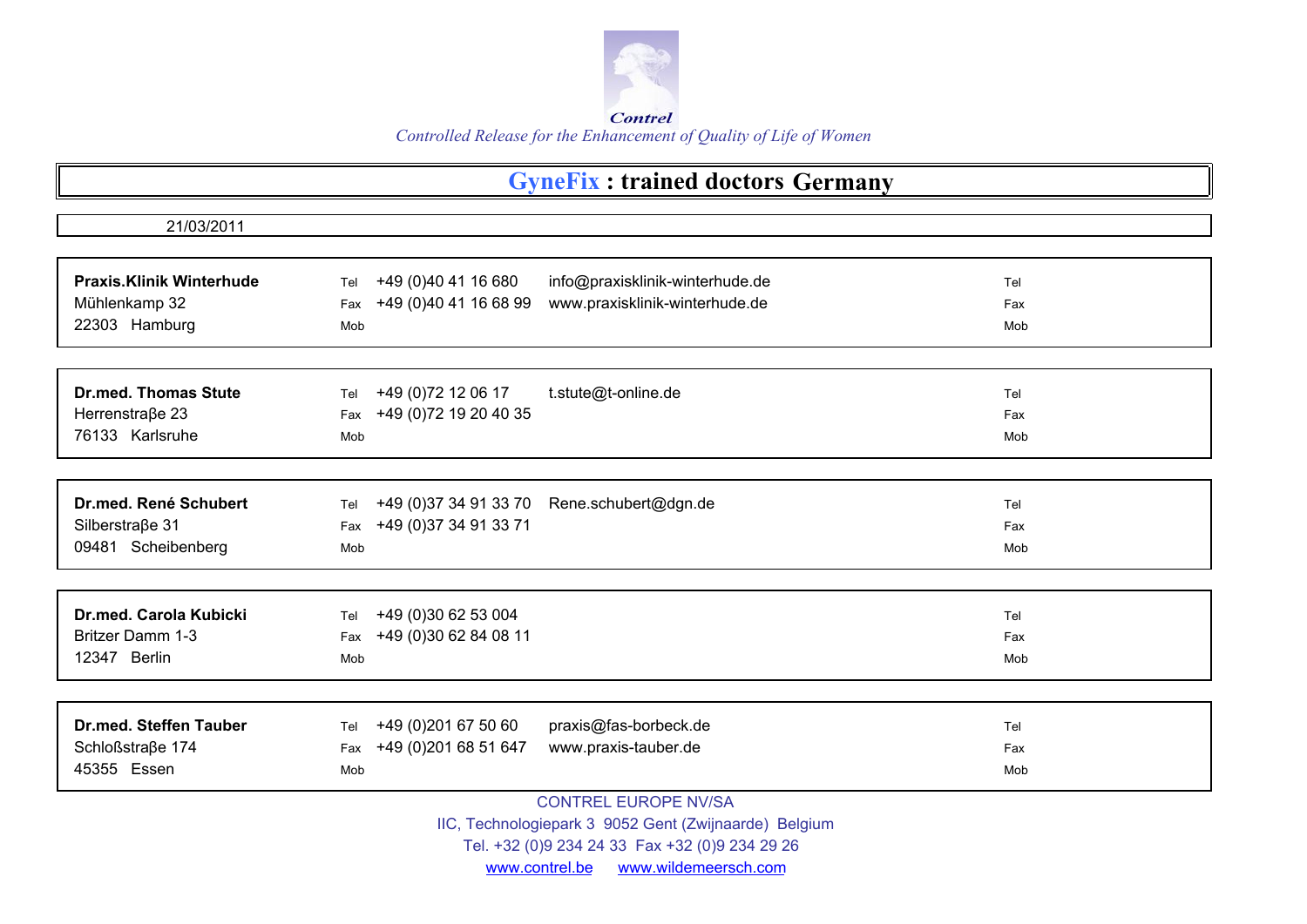

| 21/03/2011                      |                                                                |     |
|---------------------------------|----------------------------------------------------------------|-----|
|                                 |                                                                |     |
| <b>Praxis.Klinik Winterhude</b> | +49 (0)40 41 16 680<br>info@praxisklinik-winterhude.de<br>Tel  | Tel |
| Mühlenkamp 32                   | +49 (0)40 41 16 68 99<br>www.praxisklinik-winterhude.de<br>Fax | Fax |
| 22303 Hamburg                   | Mob                                                            | Mob |
|                                 |                                                                |     |
|                                 |                                                                |     |
| <b>Dr.med. Thomas Stute</b>     | t.stute@t-online.de<br>+49 (0) 72 12 06 17<br>Tel              | Tel |
| Herrenstraße 23                 | +49 (0) 72 19 20 40 35<br>Fax                                  | Fax |
| 76133 Karlsruhe                 | Mob                                                            | Mob |
|                                 |                                                                |     |
|                                 |                                                                |     |
| Dr.med. René Schubert           | +49 (0)37 34 91 33 70<br>Rene.schubert@dgn.de<br>Tel           | Tel |
| Silberstraße 31                 | +49 (0) 37 34 91 33 71<br>Fax                                  | Fax |
| 09481 Scheibenberg              | Mob                                                            | Mob |
|                                 |                                                                |     |
|                                 |                                                                |     |
| Dr.med. Carola Kubicki          | +49 (0)30 62 53 004<br>Tel                                     | Tel |
| <b>Britzer Damm 1-3</b>         | +49 (0)30 62 84 08 11<br>Fax                                   | Fax |
| 12347 Berlin                    | Mob                                                            | Mob |
|                                 |                                                                |     |
|                                 |                                                                |     |
| <b>Dr.med. Steffen Tauber</b>   | +49 (0) 201 67 50 60<br>praxis@fas-borbeck.de<br>Tel           | Tel |
| Schloßstraße 174                | +49 (0) 201 68 51 647<br>www.praxis-tauber.de<br>Fax           | Fax |
| 45355 Essen                     | Mob                                                            | Mob |
|                                 |                                                                |     |
|                                 | <b>CONTREL EUROPE NV/SA</b>                                    |     |
|                                 | IIC, Technologiepark 3 9052 Gent (Zwijnaarde) Belgium          |     |

Tel. +32 (0)9 234 24 33 Fax +32 (0)9 234 29 26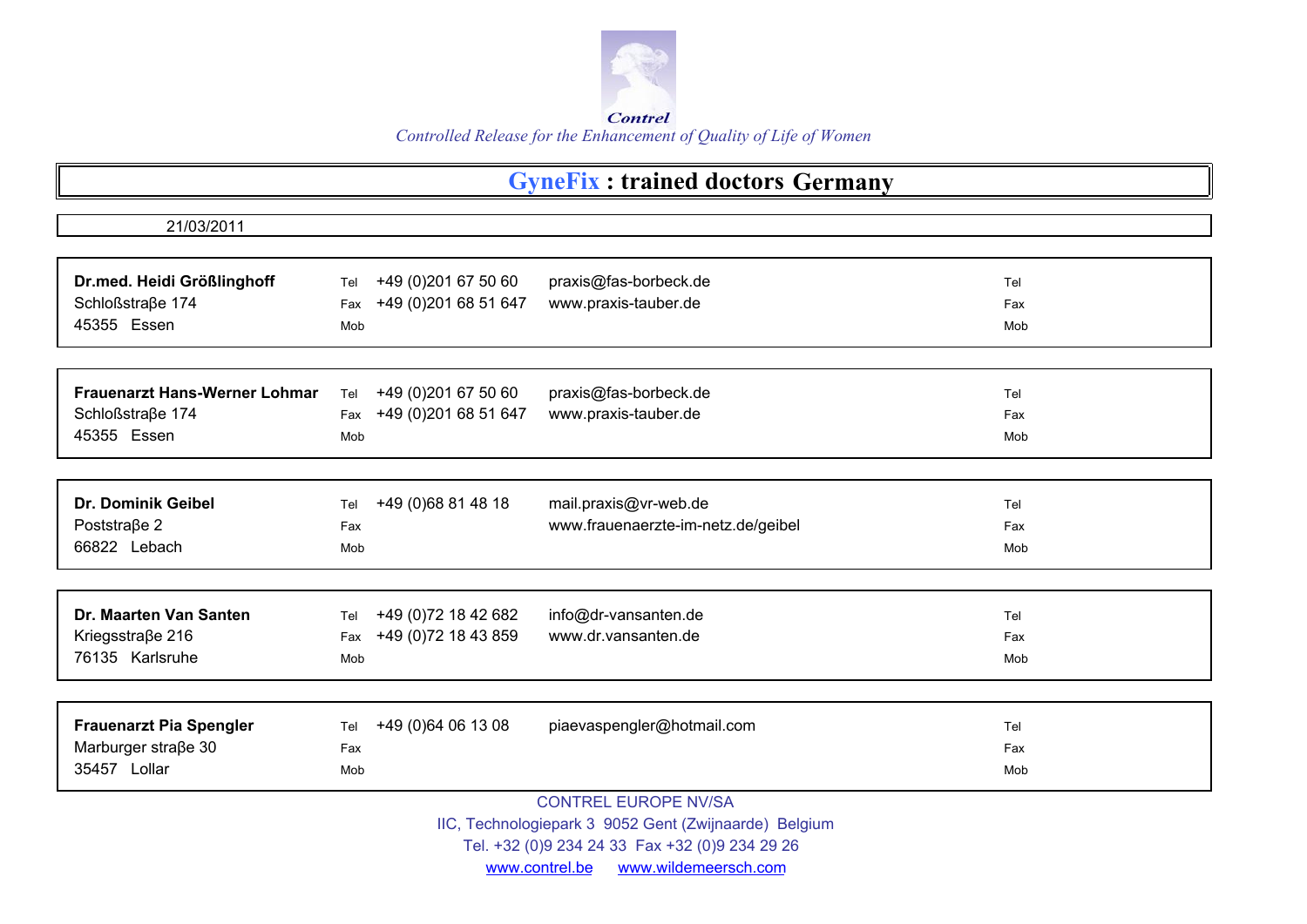

| 21/03/2011                           |                              |                                                       |     |
|--------------------------------------|------------------------------|-------------------------------------------------------|-----|
|                                      |                              |                                                       |     |
| Dr.med. Heidi Größlinghoff           | +49 (0) 201 67 50 60<br>Tel  | praxis@fas-borbeck.de                                 | Tel |
| Schloßstraße 174                     | +49 (0) 201 68 51 647<br>Fax | www.praxis-tauber.de                                  | Fax |
| 45355 Essen                          | Mob                          |                                                       | Mob |
|                                      |                              |                                                       |     |
|                                      |                              |                                                       |     |
| <b>Frauenarzt Hans-Werner Lohmar</b> | +49 (0) 201 67 50 60<br>Tel  | praxis@fas-borbeck.de                                 | Tel |
| Schloßstraße 174                     | +49 (0) 201 68 51 647<br>Fax | www.praxis-tauber.de                                  | Fax |
| 45355 Essen                          | Mob                          |                                                       | Mob |
|                                      |                              |                                                       |     |
|                                      |                              |                                                       |     |
| Dr. Dominik Geibel                   | +49 (0) 68 81 48 18<br>Tel   | mail.praxis@vr-web.de                                 | Tel |
| Poststraße 2                         | Fax                          | www.frauenaerzte-im-netz.de/geibel                    | Fax |
| 66822 Lebach                         | Mob                          |                                                       | Mob |
|                                      |                              |                                                       |     |
|                                      |                              |                                                       |     |
| Dr. Maarten Van Santen               | +49 (0) 72 18 42 682<br>Tel  | info@dr-vansanten.de                                  | Tel |
| Kriegsstraße 216                     | +49 (0) 72 18 43 859<br>Fax  | www.dr.vansanten.de                                   | Fax |
| 76135 Karlsruhe                      | Mob                          |                                                       | Mob |
|                                      |                              |                                                       |     |
|                                      |                              |                                                       |     |
| <b>Frauenarzt Pia Spengler</b>       | +49 (0)64 06 13 08<br>Tel    | piaevaspengler@hotmail.com                            | Tel |
| Marburger straße 30                  | Fax                          |                                                       | Fax |
| 35457 Lollar                         | Mob                          |                                                       | Mob |
|                                      |                              | <b>CONTREL EUROPE NV/SA</b>                           |     |
|                                      |                              | IIC, Technologiepark 3 9052 Gent (Zwijnaarde) Belgium |     |

Tel. +32 (0)9 234 24 33 Fax +32 (0)9 234 29 26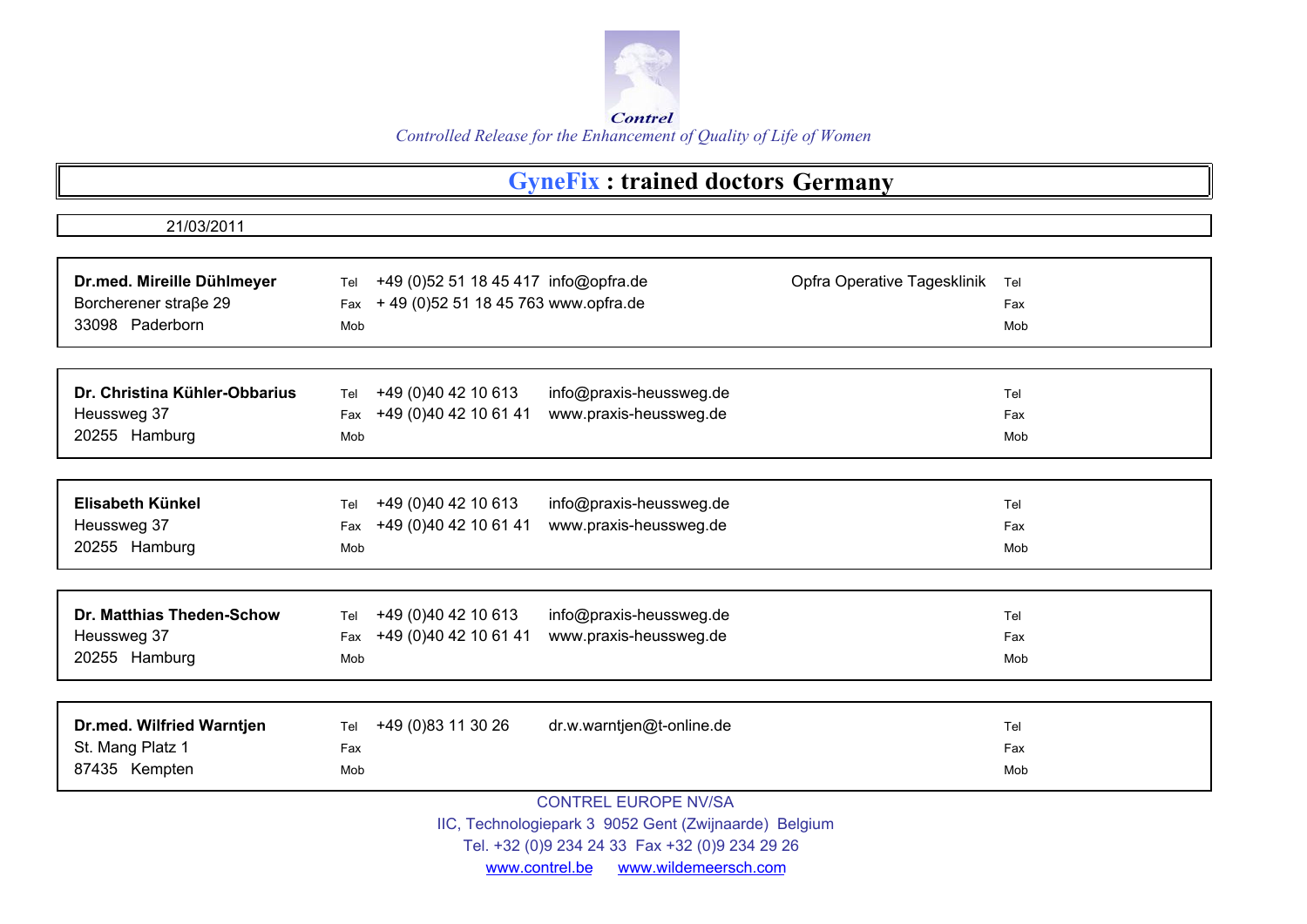

| 21/03/2011                    |                                                                            |     |
|-------------------------------|----------------------------------------------------------------------------|-----|
|                               |                                                                            |     |
| Dr.med. Mireille Dühlmeyer    | Opfra Operative Tagesklinik<br>+49 (0)52 51 18 45 417 info@opfra.de<br>Tel | Tel |
| Borcherener straße 29         | +49 (0)52 51 18 45 763 www.opfra.de<br>Fax                                 | Fax |
| 33098 Paderborn               | Mob                                                                        | Mob |
|                               |                                                                            |     |
|                               |                                                                            |     |
| Dr. Christina Kühler-Obbarius | +49 (0)40 42 10 613<br>info@praxis-heussweg.de<br>Tel                      | Tel |
| Heussweg 37                   | +49 (0)40 42 10 61 41<br>www.praxis-heussweg.de<br>Fax                     | Fax |
| 20255 Hamburg                 | Mob                                                                        | Mob |
|                               |                                                                            |     |
|                               |                                                                            |     |
| Elisabeth Künkel              | +49 (0)40 42 10 613<br>info@praxis-heussweg.de<br>Tel                      | Tel |
| Heussweg 37                   | +49 (0)40 42 10 61 41<br>www.praxis-heussweg.de<br>Fax                     | Fax |
| 20255 Hamburg                 | Mob                                                                        | Mob |
|                               |                                                                            |     |
|                               |                                                                            |     |
| Dr. Matthias Theden-Schow     | +49 (0)40 42 10 613<br>info@praxis-heussweg.de<br>Tel                      | Tel |
| Heussweg 37                   | +49 (0)40 42 10 61 41<br>www.praxis-heussweg.de<br>Fax                     | Fax |
| 20255 Hamburg                 | Mob                                                                        | Mob |
|                               |                                                                            |     |
|                               |                                                                            |     |
| Dr.med. Wilfried Warntjen     | +49 (0) 83 11 30 26<br>dr.w.warntjen@t-online.de<br>Tel                    | Tel |
| St. Mang Platz 1              | Fax                                                                        | Fax |
| 87435 Kempten                 | Mob                                                                        | Mob |
|                               |                                                                            |     |
|                               | <b>CONTREL EUROPE NV/SA</b>                                                |     |
|                               | IIC, Technologiepark 3 9052 Gent (Zwijnaarde) Belgium                      |     |

Tel. +32 (0)9 234 24 33 Fax +32 (0)9 234 29 26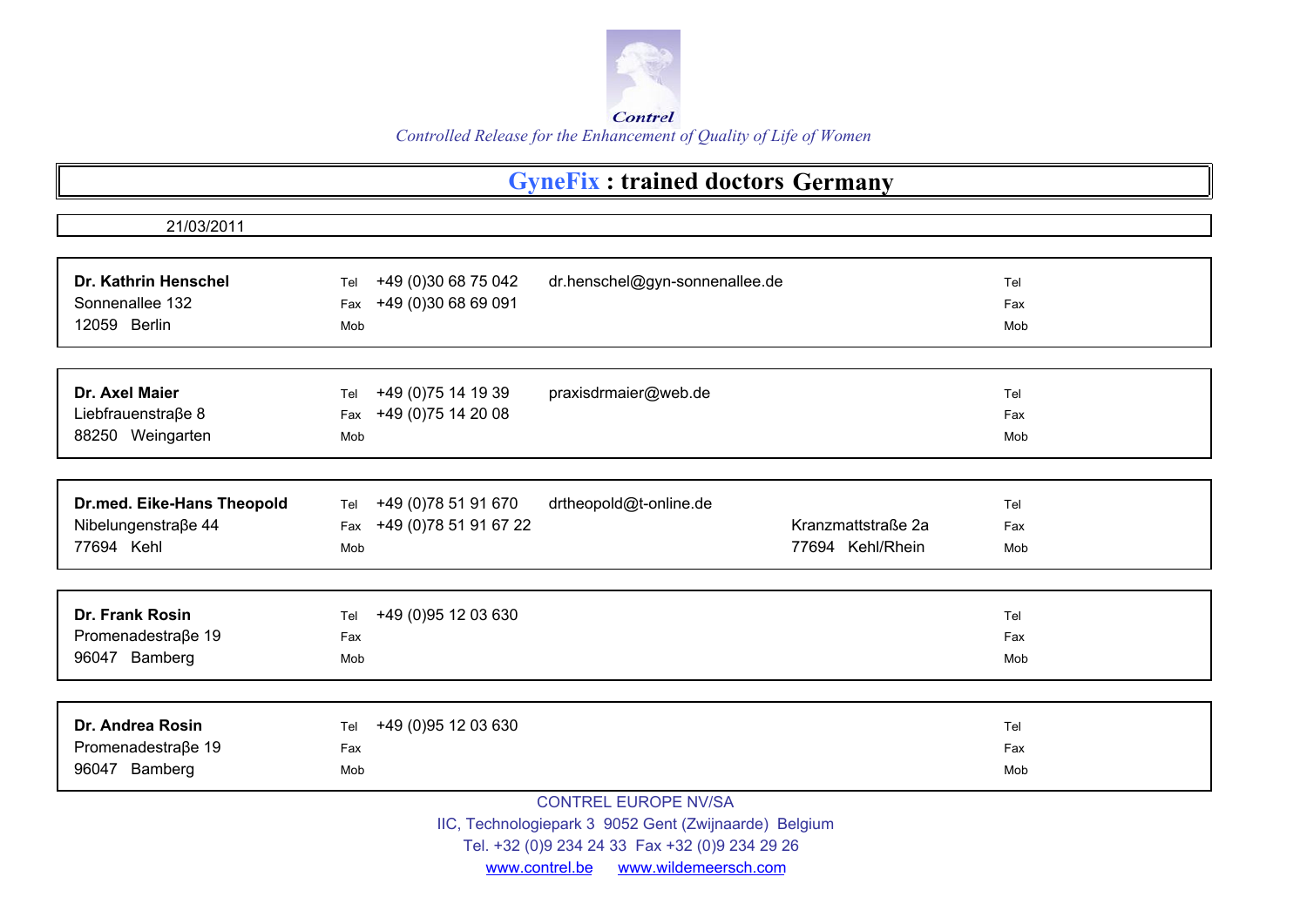

#### **GyneFix : trained doctors Germany**

| 21/03/2011                 |                                                              |     |
|----------------------------|--------------------------------------------------------------|-----|
|                            |                                                              |     |
| Dr. Kathrin Henschel       | +49 (0)30 68 75 042<br>dr.henschel@gyn-sonnenallee.de<br>Tel | Tel |
| Sonnenallee 132            | +49 (0)30 68 69 091<br>Fax                                   | Fax |
| 12059 Berlin               | Mob                                                          | Mob |
|                            |                                                              |     |
| Dr. Axel Maier             | +49 (0) 75 14 19 39<br>praxisdrmaier@web.de<br>Tel           | Tel |
| Liebfrauenstraße 8         | +49 (0) 75 14 20 08<br>Fax                                   | Fax |
| 88250 Weingarten           | Mob                                                          | Mob |
|                            |                                                              |     |
| Dr.med. Eike-Hans Theopold | +49 (0) 78 51 91 670<br>drtheopold@t-online.de<br>Tel        | Tel |
| Nibelungenstraβe 44        | Kranzmattstraße 2a<br>+49 (0) 78 51 91 67 22<br>Fax          | Fax |
| 77694 Kehl                 | 77694 Kehl/Rhein<br>Mob                                      | Mob |
|                            |                                                              |     |
| Dr. Frank Rosin            | +49 (0) 95 12 03 630<br>Tel                                  | Tel |
| Promenadestraße 19         | Fax                                                          | Fax |
| 96047 Bamberg              | Mob                                                          | Mob |
| Dr. Andrea Rosin           | +49 (0) 95 12 03 630<br>Tel                                  | Tel |
| Promenadestraße 19         | Fax                                                          | Fax |
| 96047 Bamberg              | Mob                                                          | Mob |
|                            | <b>CONTREL EUROPE NV/SA</b>                                  |     |
|                            | IIC, Technologiepark 3 9052 Gent (Zwijnaarde) Belgium        |     |
|                            | Tel. +32 (0)9 234 24 33 Fax +32 (0)9 234 29 26               |     |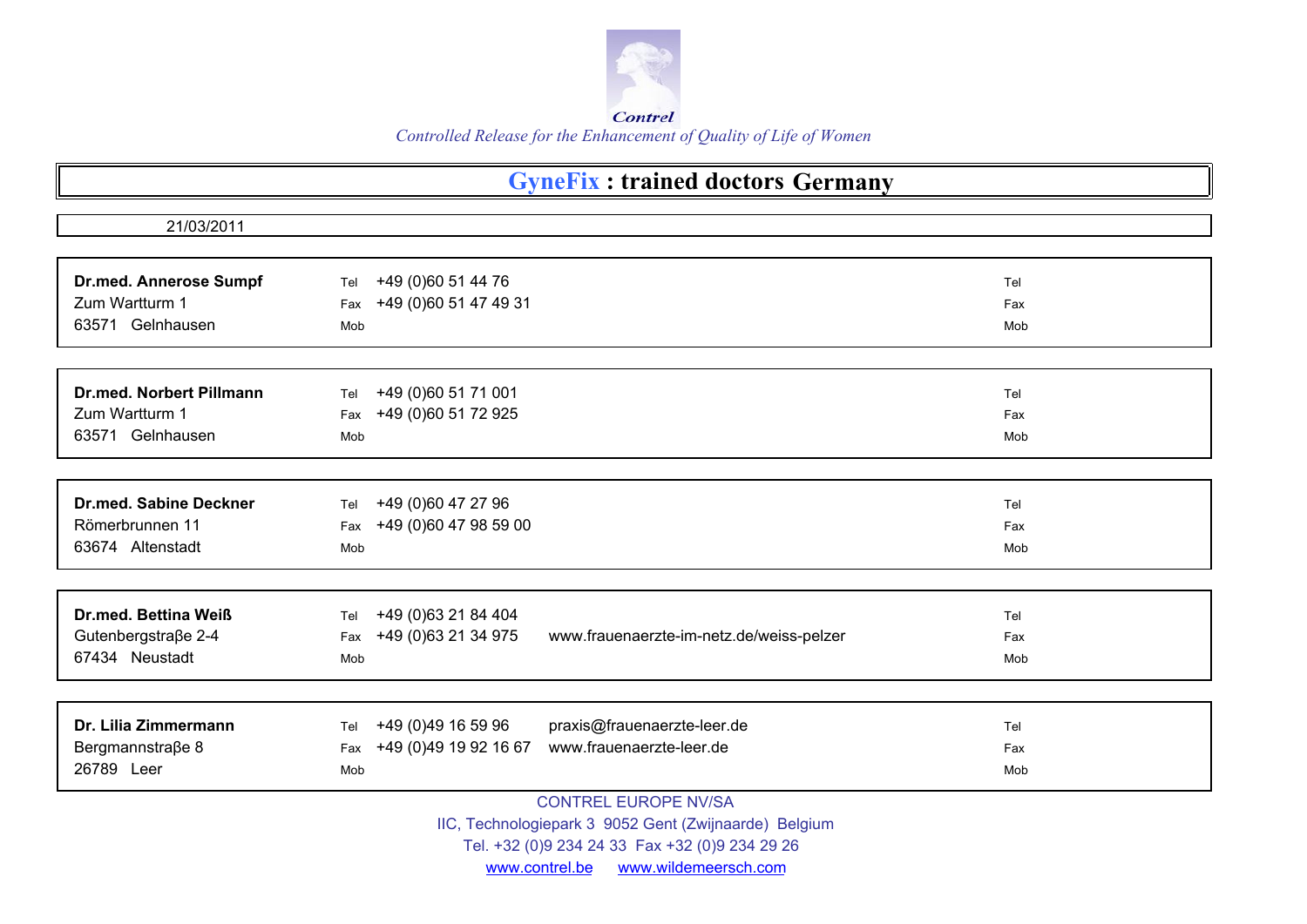

## **GyneFix : trained doctors Germany**

| 21/03/2011                      |                                                                            |            |
|---------------------------------|----------------------------------------------------------------------------|------------|
|                                 |                                                                            |            |
| <b>Dr.med. Annerose Sumpf</b>   | +49 (0)60 51 44 76<br>Tel                                                  | Tel        |
| Zum Wartturm 1                  | Fax +49 (0)60 51 47 49 31                                                  | Fax        |
| 63571 Gelnhausen                | Mob                                                                        | Mob        |
|                                 |                                                                            |            |
|                                 |                                                                            |            |
| <b>Dr.med. Norbert Pillmann</b> | +49 (0)60 51 71 001<br>Tel                                                 | Tel        |
| Zum Wartturm 1                  | +49 (0)60 51 72 925<br>Fax                                                 | Fax        |
| 63571 Gelnhausen                | Mob                                                                        | Mob        |
|                                 |                                                                            |            |
|                                 |                                                                            |            |
| <b>Dr.med. Sabine Deckner</b>   | +49 (0)60 47 27 96<br>Tel                                                  | Tel        |
| Römerbrunnen 11                 | Fax +49 (0)60 47 98 59 00                                                  | Fax        |
| 63674 Altenstadt                | Mob                                                                        | Mob        |
|                                 |                                                                            |            |
| Dr.med. Bettina Weiß            | +49 (0) 63 21 84 404                                                       |            |
| Gutenbergstraβe 2-4             | Tel<br>Fax +49 (0)63 21 34 975<br>www.frauenaerzte-im-netz.de/weiss-pelzer | Tel        |
| 67434 Neustadt                  | Mob                                                                        | Fax<br>Mob |
|                                 |                                                                            |            |
|                                 |                                                                            |            |
| Dr. Lilia Zimmermann            | +49 (0)49 16 59 96<br>praxis@frauenaerzte-leer.de<br>Tel                   | Tel        |
| Bergmannstraße 8                | Fax +49 (0)49 19 92 16 67<br>www.frauenaerzte-leer.de                      | Fax        |
| 26789 Leer                      | Mob                                                                        | Mob        |
|                                 |                                                                            |            |
|                                 | <b>CONTREL EUROPE NV/SA</b>                                                |            |
|                                 | IIC, Technologiepark 3 9052 Gent (Zwijnaarde) Belgium                      |            |

Tel. +32 (0)9 234 24 33 Fax +32 (0)9 234 29 26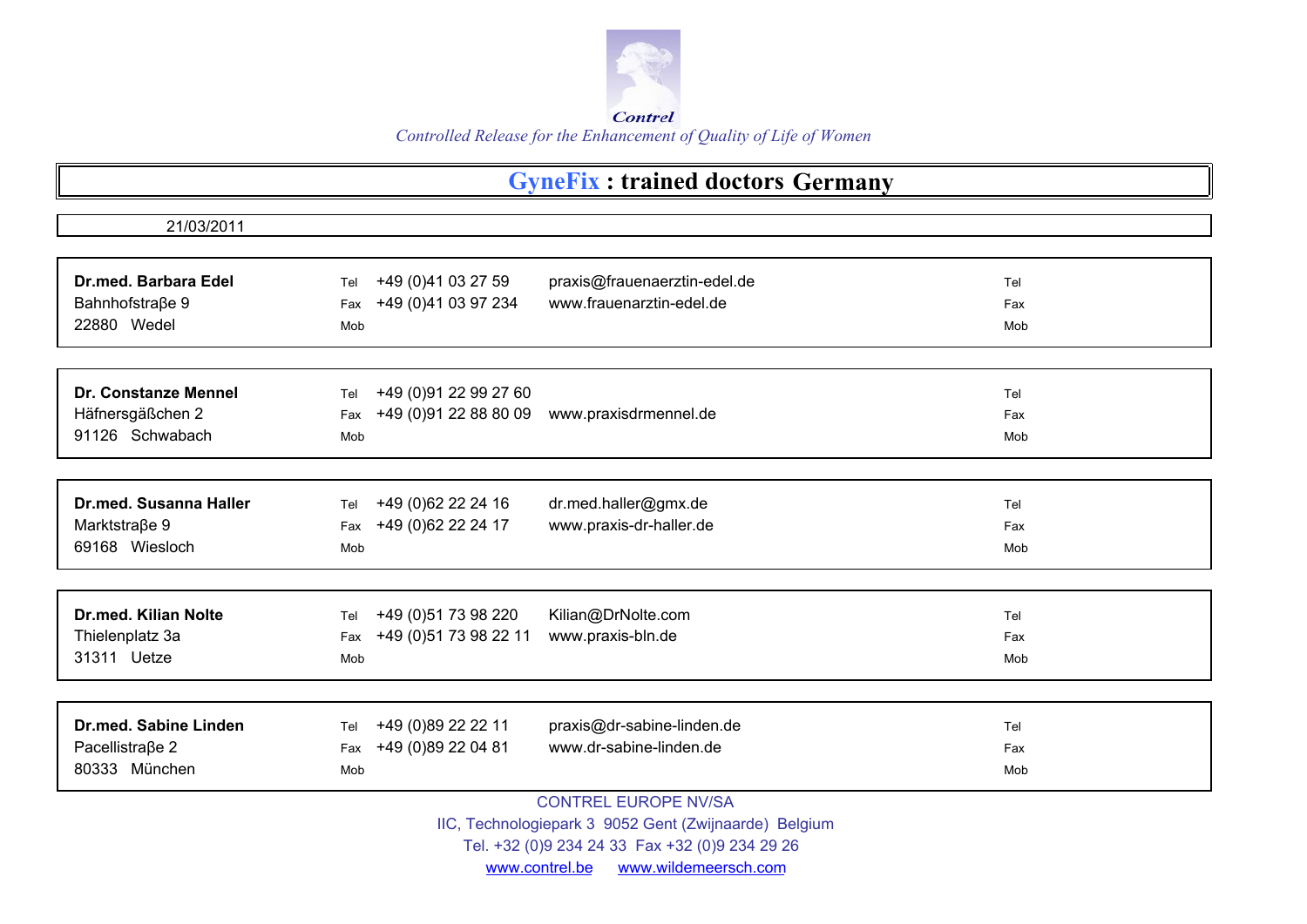

### **GyneFix : trained doctors Germany**

| 21/03/2011                                                         |                                                                                                                            |                   |  |  |
|--------------------------------------------------------------------|----------------------------------------------------------------------------------------------------------------------------|-------------------|--|--|
|                                                                    |                                                                                                                            |                   |  |  |
| <b>Dr.med. Barbara Edel</b><br>Bahnhofstraße 9<br>22880 Wedel      | +49 (0)41 03 27 59<br>praxis@frauenaerztin-edel.de<br>Tel<br>www.frauenarztin-edel.de<br>+49 (0)41 03 97 234<br>Fax<br>Mob | Tel<br>Fax<br>Mob |  |  |
|                                                                    |                                                                                                                            |                   |  |  |
| <b>Dr. Constanze Mennel</b><br>Häfnersgäßchen 2<br>91126 Schwabach | +49 (0) 91 22 99 27 60<br>Tel<br>+49 (0) 91 22 88 80 09<br>www.praxisdrmennel.de<br>Fax<br>Mob                             | Tel<br>Fax<br>Mob |  |  |
|                                                                    |                                                                                                                            |                   |  |  |
| <b>Dr.med. Susanna Haller</b><br>Marktstraβe 9<br>69168 Wiesloch   | +49 (0)62 22 24 16<br>dr.med.haller@gmx.de<br>Tel<br>+49 (0)62 22 24 17<br>www.praxis-dr-haller.de<br>Fax<br>Mob           | Tel<br>Fax<br>Mob |  |  |
|                                                                    |                                                                                                                            |                   |  |  |
| <b>Dr.med. Kilian Nolte</b><br>Thielenplatz 3a<br>31311 Uetze      | +49 (0) 51 73 98 220<br>Kilian@DrNolte.com<br>Tel<br>+49 (0) 51 73 98 22 11<br>www.praxis-bln.de<br>Fax<br>Mob             | Tel<br>Fax<br>Mob |  |  |
|                                                                    |                                                                                                                            |                   |  |  |
| <b>Dr.med. Sabine Linden</b><br>Pacellistraße 2<br>80333 München   | +49 (0) 89 22 22 11<br>praxis@dr-sabine-linden.de<br>Tel<br>+49 (0)89 22 04 81<br>www.dr-sabine-linden.de<br>Fax<br>Mob    | Tel<br>Fax<br>Mob |  |  |
| <b>CONTREL EUROPE NV/SA</b>                                        |                                                                                                                            |                   |  |  |

IIC, Technologiepark 3 9052 Gent (Zwijnaarde) Belgium

Tel. +32 (0)9 234 24 33 Fax +32 (0)9 234 29 26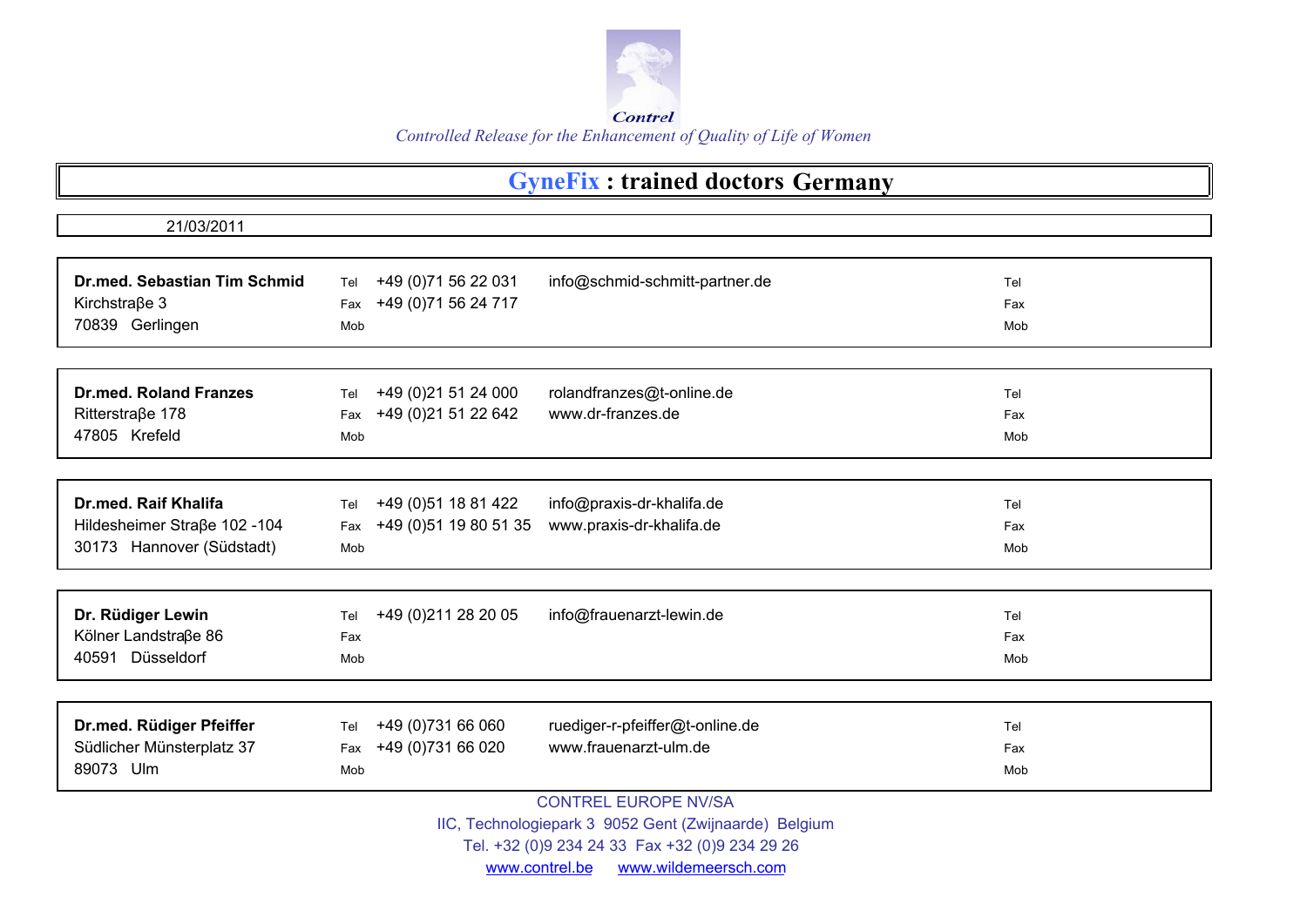

## **GyneFix : trained doctors Germany**

| 21/03/2011                                                       |                                                                                                     |                   |
|------------------------------------------------------------------|-----------------------------------------------------------------------------------------------------|-------------------|
|                                                                  |                                                                                                     |                   |
| Dr.med. Sebastian Tim Schmid<br>Kirchstraβe 3<br>70839 Gerlingen | +49 (0) 71 56 22 031<br>info@schmid-schmitt-partner.de<br>Tel<br>+49 (0) 71 56 24 717<br>Fax<br>Mob | Tel<br>Fax<br>Mob |
|                                                                  |                                                                                                     |                   |
|                                                                  |                                                                                                     |                   |
| <b>Dr.med. Roland Franzes</b>                                    | +49 (0) 21 51 24 000<br>rolandfranzes@t-online.de<br>Tel                                            | Tel               |
| Ritterstraße 178                                                 | +49 (0) 21 51 22 642<br>www.dr-franzes.de<br>Fax                                                    | Fax               |
| 47805 Krefeld                                                    | Mob                                                                                                 | Mob               |
|                                                                  |                                                                                                     |                   |
|                                                                  |                                                                                                     |                   |
| Dr.med. Raif Khalifa                                             | +49 (0) 51 18 81 422<br>info@praxis-dr-khalifa.de<br>Tel                                            | Tel               |
| Hildesheimer Straße 102 -104                                     | www.praxis-dr-khalifa.de<br>Fax +49 (0)51 19 80 51 35                                               | Fax               |
| 30173 Hannover (Südstadt)                                        | Mob                                                                                                 | Mob               |
|                                                                  |                                                                                                     |                   |
| Dr. Rüdiger Lewin                                                | +49 (0) 211 28 20 05<br>info@frauenarzt-lewin.de<br>Tel                                             | Tel               |
| Kölner Landstraße 86                                             | Fax                                                                                                 | Fax               |
| Düsseldorf<br>40591                                              | Mob                                                                                                 | Mob               |
|                                                                  |                                                                                                     |                   |
|                                                                  |                                                                                                     |                   |
| Dr.med. Rüdiger Pfeiffer                                         | +49 (0) 731 66 060<br>ruediger-r-pfeiffer@t-online.de<br>Tel                                        | Tel               |
| Südlicher Münsterplatz 37                                        | +49 (0)731 66 020<br>www.frauenarzt-ulm.de<br>Fax                                                   | Fax               |
| 89073 Ulm                                                        | Mob                                                                                                 | Mob               |
|                                                                  | <b>CONTREL EUROPE NV/SA</b>                                                                         |                   |
|                                                                  | IIC, Technologiepark 3 9052 Gent (Zwijnaarde) Belgium                                               |                   |

Tel. +32 (0)9 234 24 33 Fax +32 (0)9 234 29 26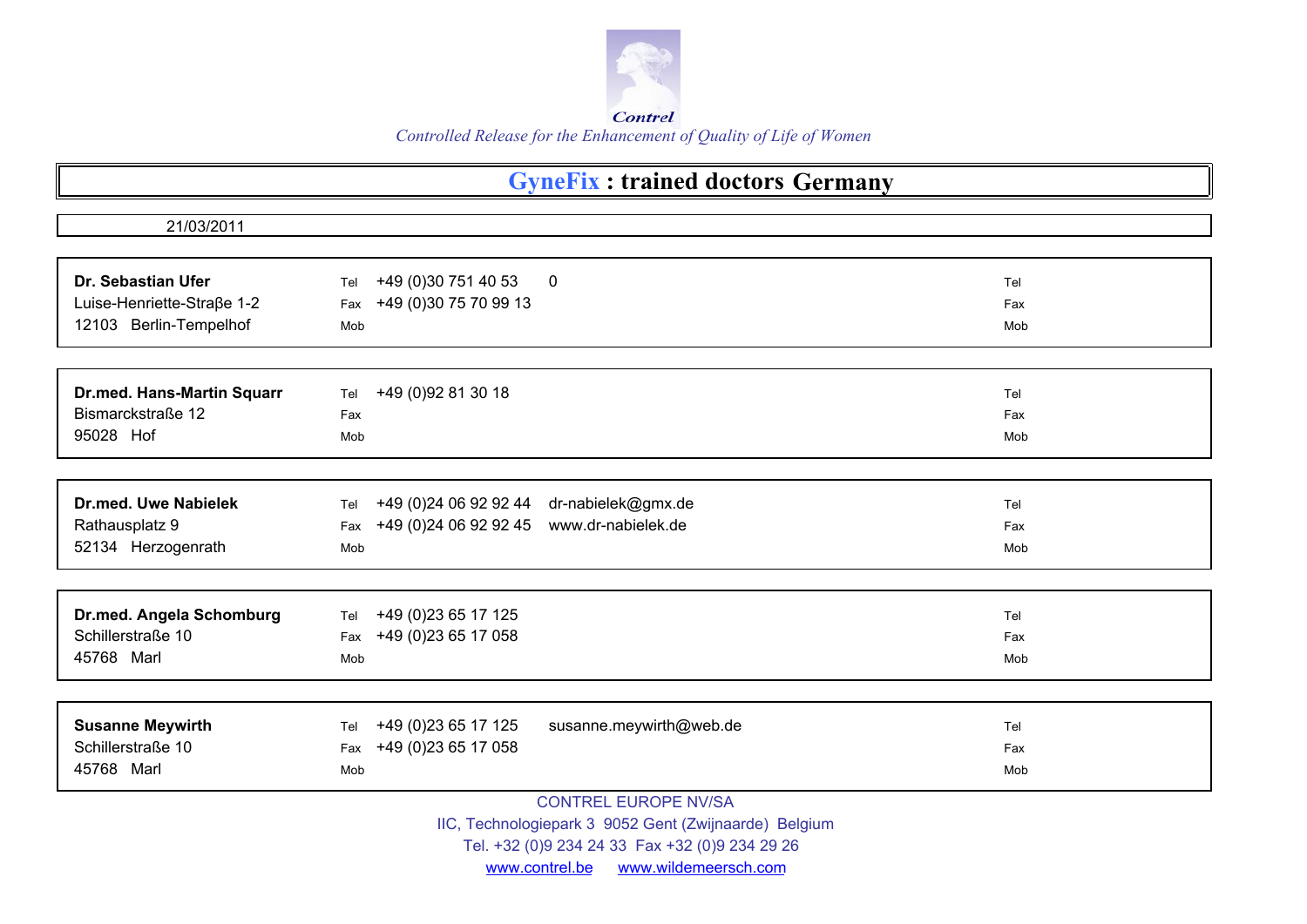

## **GyneFix : trained doctors Germany**

| 21/03/2011                  |                                                        |     |
|-----------------------------|--------------------------------------------------------|-----|
|                             |                                                        |     |
| Dr. Sebastian Ufer          | +49 (0)30 751 40 53<br>0<br>Tel                        | Tel |
| Luise-Henriette-Straße 1-2  | +49 (0)30 75 70 99 13<br>Fax                           | Fax |
| 12103 Berlin-Tempelhof      | Mob                                                    | Mob |
|                             |                                                        |     |
|                             |                                                        |     |
| Dr.med. Hans-Martin Squarr  | +49 (0) 92 81 30 18<br>Tel                             | Tel |
| Bismarckstraße 12           | Fax                                                    | Fax |
| 95028 Hof                   | Mob                                                    | Mob |
|                             |                                                        |     |
|                             |                                                        |     |
| <b>Dr.med. Uwe Nabielek</b> | dr-nabielek@gmx.de<br>+49 (0)24 06 92 92 44<br>Tel     | Tel |
| Rathausplatz 9              | Fax +49 (0) 24 06 92 92 45<br>www.dr-nabielek.de       | Fax |
| 52134 Herzogenrath          | Mob                                                    | Mob |
|                             |                                                        |     |
| Dr.med. Angela Schomburg    | +49 (0)23 65 17 125<br>Tel                             | Tel |
| Schillerstraße 10           | +49 (0)23 65 17 058<br>Fax                             | Fax |
| 45768 Marl                  | Mob                                                    | Mob |
|                             |                                                        |     |
|                             |                                                        |     |
| <b>Susanne Meywirth</b>     | +49 (0) 23 65 17 125<br>susanne.meywirth@web.de<br>Tel | Tel |
| Schillerstraße 10           | +49 (0)23 65 17 058<br>Fax                             | Fax |
| 45768 Marl                  | Mob                                                    | Mob |
|                             | <b>CONTREL EUROPE NV/SA</b>                            |     |
|                             | IIC, Technologiepark 3 9052 Gent (Zwijnaarde) Belgium  |     |

Tel. +32 (0)9 234 24 33 Fax +32 (0)9 234 29 26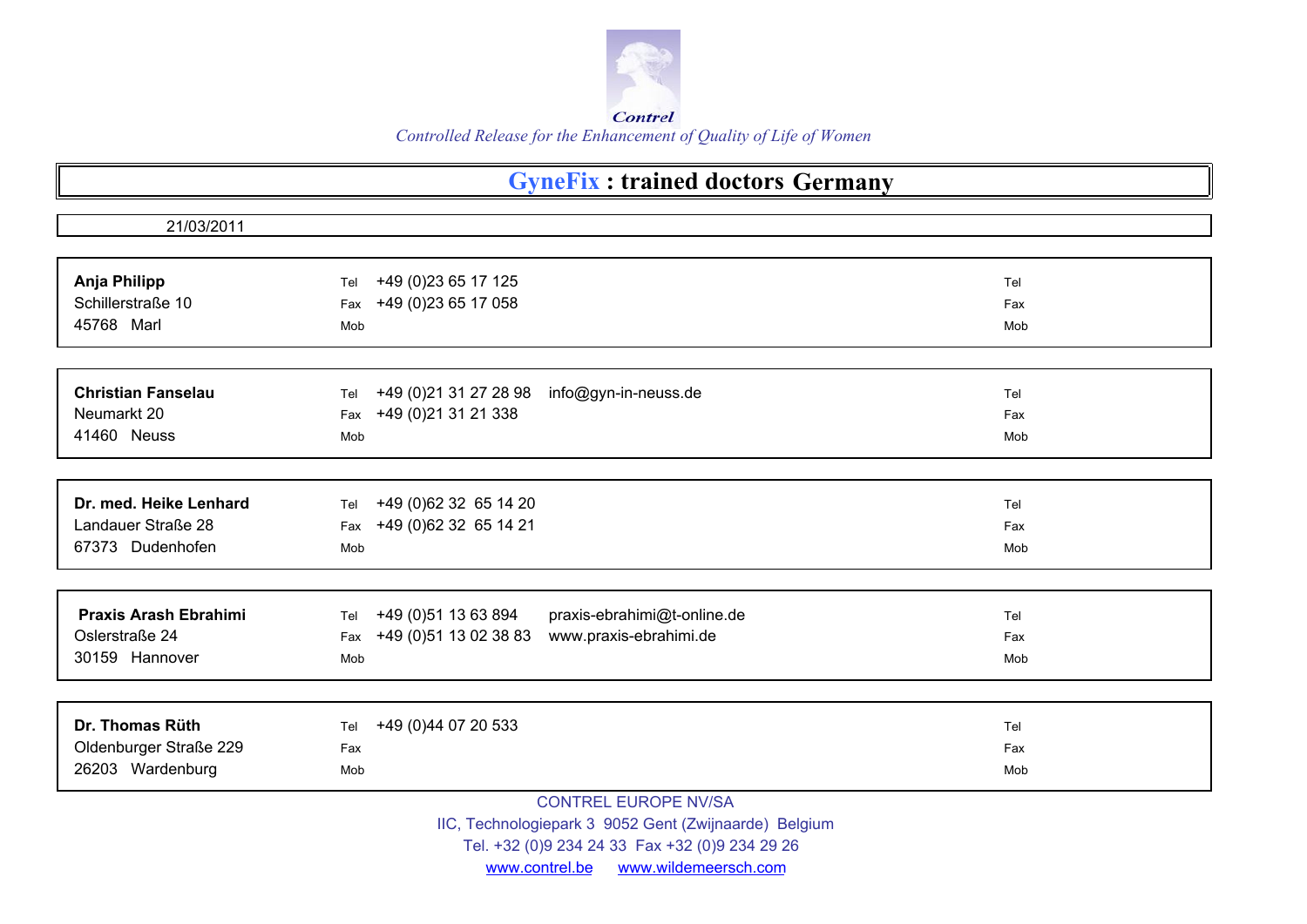

## **GyneFix : trained doctors Germany**

| 21/03/2011                   |                                                            |     |
|------------------------------|------------------------------------------------------------|-----|
|                              |                                                            |     |
| Anja Philipp                 | +49 (0)23 65 17 125<br>Tel                                 | Tel |
| Schillerstraße 10            | +49 (0)23 65 17 058                                        | Fax |
|                              | Fax                                                        |     |
| 45768 Marl                   | Mob                                                        | Mob |
|                              |                                                            |     |
| <b>Christian Fanselau</b>    | +49 (0) 21 31 27 28 98<br>info@gyn-in-neuss.de<br>Tel      | Tel |
| Neumarkt 20                  | Fax +49 (0)21 31 21 338                                    | Fax |
| 41460 Neuss                  | Mob                                                        | Mob |
|                              |                                                            |     |
|                              |                                                            |     |
| Dr. med. Heike Lenhard       | +49 (0) 62 32 65 14 20<br>Tel                              | Tel |
| Landauer Straße 28           | Fax +49 (0)62 32 65 14 21                                  | Fax |
| 67373 Dudenhofen             | Mob                                                        | Mob |
|                              |                                                            |     |
| <b>Praxis Arash Ebrahimi</b> | +49 (0) 51 13 63 894<br>praxis-ebrahimi@t-online.de<br>Tel | Tel |
| Oslerstraße 24               | +49 (0) 51 13 02 38 83<br>www.praxis-ebrahimi.de<br>Fax    | Fax |
| 30159 Hannover               | Mob                                                        | Mob |
|                              |                                                            |     |
| Dr. Thomas Rüth              | +49 (0)44 07 20 533<br>Tel                                 | Tel |
| Oldenburger Straße 229       | Fax                                                        | Fax |
| 26203 Wardenburg             | Mob                                                        | Mob |
|                              | <b>CONTREL EUROPE NV/SA</b>                                |     |
|                              | IIC, Technologiepark 3 9052 Gent (Zwijnaarde) Belgium      |     |
|                              | $T_{1}$ , 00.40)0.004.04.00 $T_{2}$ , 00.40)0.004.00.00    |     |

Tel. +32 (0)9 234 24 33 Fax +32 (0)9 234 29 26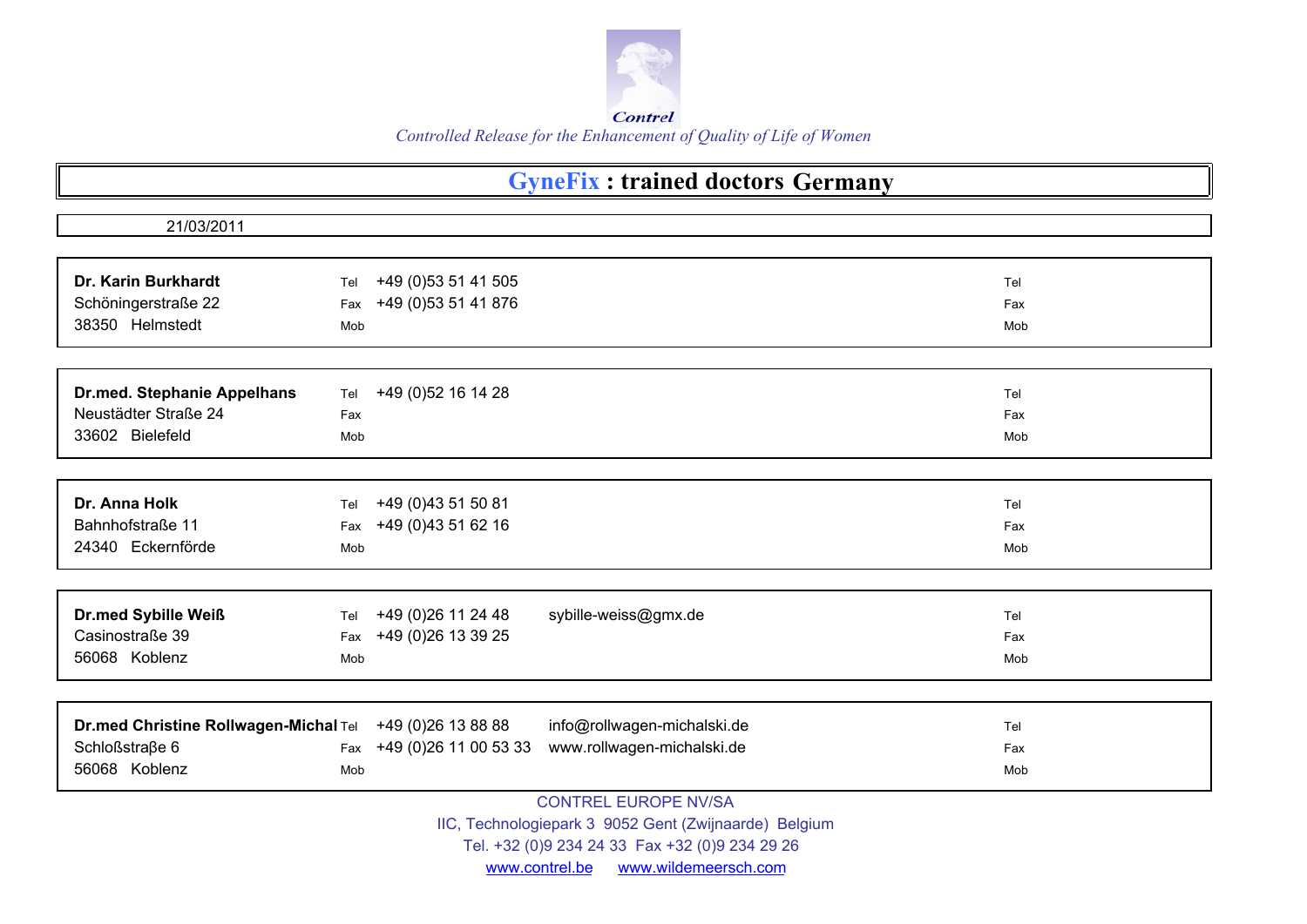

## **GyneFix : trained doctors Germany**

| 21/03/2011                            |                           |                                                       |     |
|---------------------------------------|---------------------------|-------------------------------------------------------|-----|
|                                       |                           |                                                       |     |
| Dr. Karin Burkhardt<br>Tel            | +49 (0) 53 51 41 505      |                                                       | Tel |
| Schöningerstraße 22<br>Fax            | +49 (0) 53 51 41 876      |                                                       | Fax |
| 38350 Helmstedt<br>Mob                |                           |                                                       | Mob |
|                                       |                           |                                                       |     |
|                                       |                           |                                                       |     |
| Dr.med. Stephanie Appelhans<br>Tel    | +49 (0)52 16 14 28        |                                                       | Tel |
| Neustädter Straße 24<br>Fax           |                           |                                                       | Fax |
| 33602 Bielefeld<br>Mob                |                           |                                                       | Mob |
|                                       |                           |                                                       |     |
|                                       |                           |                                                       |     |
| Dr. Anna Holk<br>Tel                  | +49 (0)43 51 50 81        |                                                       | Tel |
| Bahnhofstraße 11                      | Fax +49 (0)43 51 62 16    |                                                       | Fax |
| 24340 Eckernförde<br>Mob              |                           |                                                       | Mob |
|                                       |                           |                                                       |     |
|                                       |                           |                                                       |     |
| <b>Dr.med Sybille Weiß</b><br>Tel     | +49 (0) 26 11 24 48       | sybille-weiss@gmx.de                                  | Tel |
| Casinostraße 39                       | Fax +49 (0) 26 13 39 25   |                                                       | Fax |
| 56068 Koblenz<br>Mob                  |                           |                                                       | Mob |
|                                       |                           |                                                       |     |
|                                       |                           |                                                       |     |
| Dr.med Christine Rollwagen-Michal Tel | +49 (0) 26 13 88 88       | info@rollwagen-michalski.de                           | Tel |
| Schloßstraße 6                        | Fax +49 (0)26 11 00 53 33 | www.rollwagen-michalski.de                            | Fax |
| 56068 Koblenz<br>Mob                  |                           |                                                       | Mob |
| <b>CONTREL EUROPE NV/SA</b>           |                           |                                                       |     |
|                                       |                           | IIC, Technologiepark 3 9052 Gent (Zwijnaarde) Belgium |     |

Tel. +32 (0)9 234 24 33 Fax +32 (0)9 234 29 26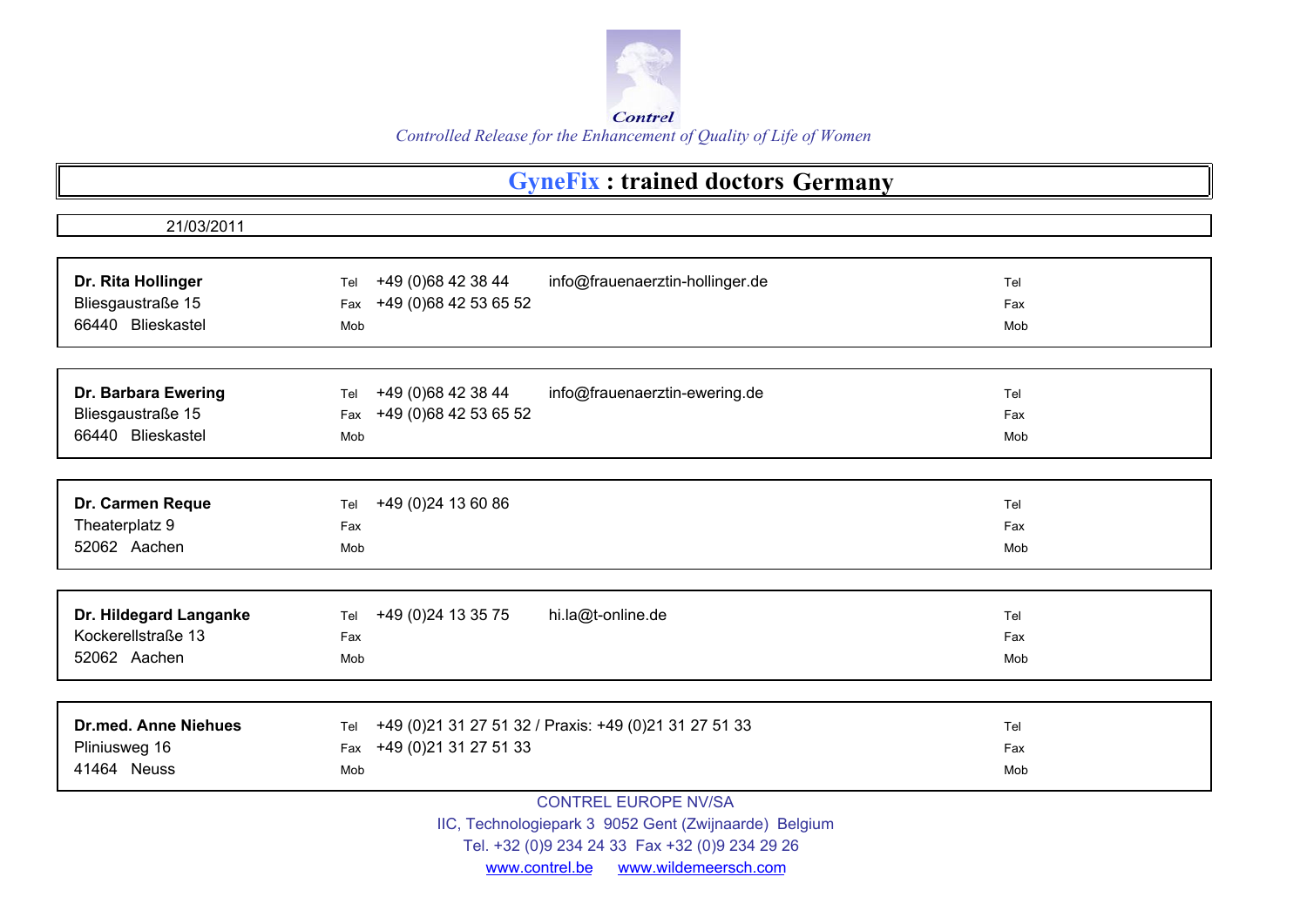

### **GyneFix : trained doctors Germany**

| 21/03/2011                  |                                                              |     |
|-----------------------------|--------------------------------------------------------------|-----|
|                             |                                                              |     |
|                             | info@frauenaerztin-hollinger.de                              |     |
| Dr. Rita Hollinger          | +49 (0) 68 42 38 44<br>Tel                                   | Tel |
| Bliesgaustraße 15           | +49 (0) 68 42 53 65 52<br>Fax                                | Fax |
| 66440 Blieskastel           | Mob                                                          | Mob |
|                             |                                                              |     |
| Dr. Barbara Ewering         | info@frauenaerztin-ewering.de<br>+49 (0) 68 42 38 44<br>Tel  | Tel |
| Bliesgaustraße 15           | Fax +49 (0)68 42 53 65 52                                    | Fax |
| 66440 Blieskastel           | Mob                                                          | Mob |
|                             |                                                              |     |
|                             |                                                              |     |
| Dr. Carmen Reque            | +49 (0) 24 13 60 86<br>Tel                                   | Tel |
| Theaterplatz 9              | Fax                                                          | Fax |
| 52062 Aachen                | Mob                                                          | Mob |
|                             |                                                              |     |
|                             |                                                              |     |
| Dr. Hildegard Langanke      | +49 (0) 24 13 35 75<br>hi.la@t-online.de<br>Tel              | Tel |
| Kockerellstraße 13          | Fax                                                          | Fax |
| 52062 Aachen                | Mob                                                          | Mob |
|                             |                                                              |     |
| <b>Dr.med. Anne Niehues</b> | +49 (0)21 31 27 51 32 / Praxis: +49 (0)21 31 27 51 33<br>Tel | Tel |
| Pliniusweg 16               | Fax +49 (0)21 31 27 51 33                                    | Fax |
| 41464 Neuss                 | Mob                                                          | Mob |
|                             |                                                              |     |
|                             | <b>CONTREL EUROPE NV/SA</b>                                  |     |
|                             | IIC, Technologiepark 3 9052 Gent (Zwijnaarde) Belgium        |     |
|                             | Tel. +32 (0)9 234 24 33 Fax +32 (0)9 234 29 26               |     |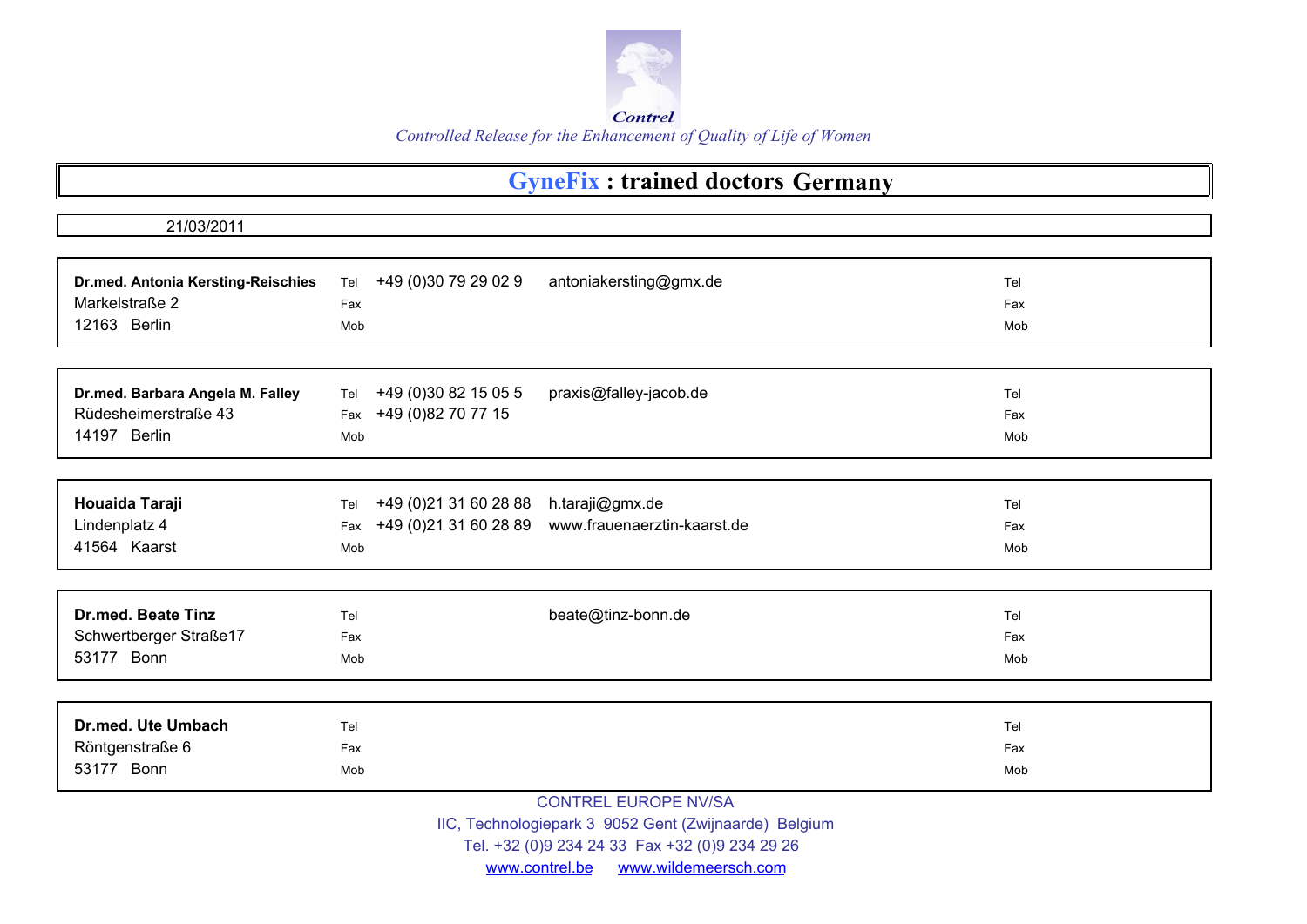

## **GyneFix : trained doctors Germany**

| 21/03/2011                         |                               |                             |     |
|------------------------------------|-------------------------------|-----------------------------|-----|
|                                    |                               |                             |     |
| Dr.med. Antonia Kersting-Reischies | +49 (0)30 79 29 02 9<br>Tel   | antoniakersting@gmx.de      | Tel |
| Markelstraße 2                     | Fax                           |                             | Fax |
| 12163 Berlin                       | Mob                           |                             | Mob |
|                                    |                               |                             |     |
|                                    |                               |                             |     |
| Dr.med. Barbara Angela M. Falley   | +49 (0)30 82 15 05 5<br>Tel   | praxis@falley-jacob.de      | Tel |
| Rüdesheimerstraße 43               | Fax +49 (0)82 70 77 15        |                             | Fax |
| 14197 Berlin                       | Mob                           |                             | Mob |
|                                    |                               |                             |     |
|                                    |                               |                             |     |
| Houaida Taraji                     | +49 (0) 21 31 60 28 88<br>Tel | h.taraji@gmx.de             | Tel |
| Lindenplatz 4                      | +49 (0) 21 31 60 28 89<br>Fax | www.frauenaerztin-kaarst.de | Fax |
| 41564 Kaarst                       | Mob                           |                             | Mob |
|                                    |                               |                             |     |
|                                    |                               |                             |     |
| <b>Dr.med. Beate Tinz</b>          | Tel                           | beate@tinz-bonn.de          | Tel |
| Schwertberger Straße17             | Fax                           |                             | Fax |
| 53177 Bonn                         | Mob                           |                             | Mob |
|                                    |                               |                             |     |
|                                    |                               |                             |     |
| Dr.med. Ute Umbach                 | Tel                           |                             | Tel |
| Röntgenstraße 6                    | Fax                           |                             | Fax |
| 53177 Bonn                         | Mob                           |                             | Mob |
|                                    |                               | CONTREL FUROPE NV/SA        |     |

V/SA

IIC, Technologiepark 3 9052 Gent (Zwijnaarde) Belgium

Tel. +32 (0)9 234 24 33 Fax +32 (0)9 234 29 26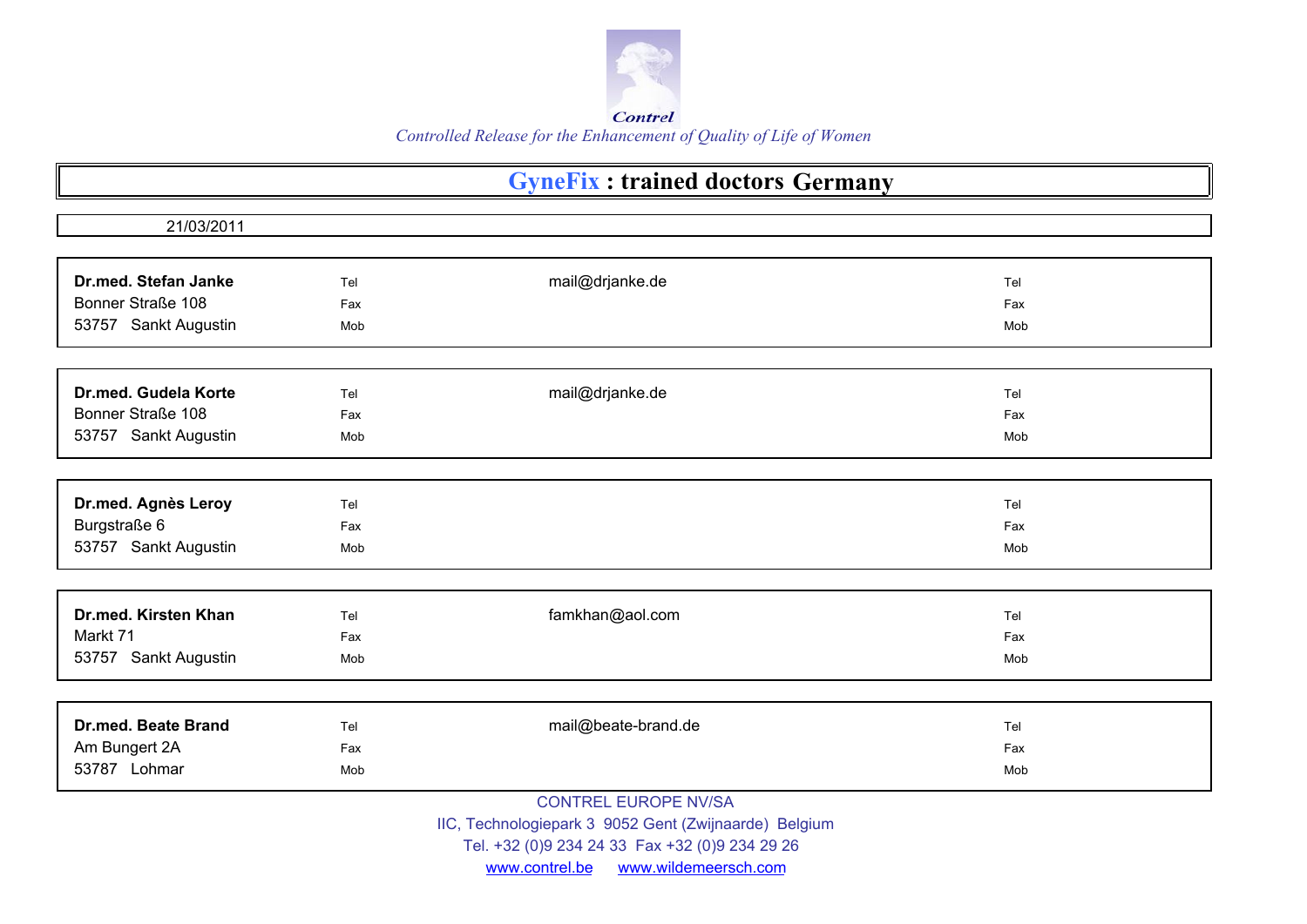

# **GyneFix : trained doctors Germany**

| 21/03/2011                 |     |                             |     |
|----------------------------|-----|-----------------------------|-----|
|                            |     |                             |     |
| Dr.med. Stefan Janke       | Tel | mail@drjanke.de             | Tel |
| Bonner Straße 108          | Fax |                             | Fax |
| 53757 Sankt Augustin       | Mob |                             | Mob |
|                            |     |                             |     |
| Dr.med. Gudela Korte       | Tel | mail@drjanke.de             | Tel |
| Bonner Straße 108          | Fax |                             | Fax |
| 53757 Sankt Augustin       | Mob |                             | Mob |
|                            |     |                             |     |
| Dr.med. Agnès Leroy        | Tel |                             | Tel |
| Burgstraße 6               | Fax |                             | Fax |
| 53757 Sankt Augustin       | Mob |                             | Mob |
|                            |     |                             |     |
| Dr.med. Kirsten Khan       | Tel | famkhan@aol.com             | Tel |
| Markt 71                   | Fax |                             | Fax |
| 53757 Sankt Augustin       | Mob |                             | Mob |
|                            |     |                             |     |
| <b>Dr.med. Beate Brand</b> | Tel | mail@beate-brand.de         | Tel |
| Am Bungert 2A              | Fax |                             | Fax |
| 53787 Lohmar               | Mob |                             | Mob |
|                            |     | <b>CONTREL EUROPE NV/SA</b> |     |

IIC, Technologiepark 3 9052 Gent (Zwijnaarde) Belgium

Tel. +32 (0)9 234 24 33 Fax +32 (0)9 234 29 26